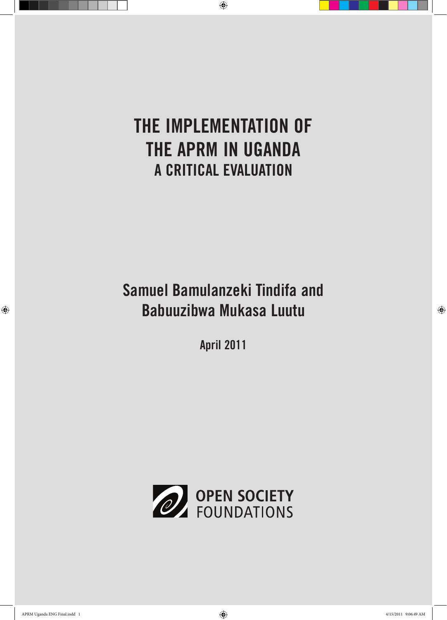## The Implementation of the APRM in Uganda A Critical Evaluation

## Samuel Bamulanzeki Tindifa and Babuuzibwa Mukasa Luutu

April 2011

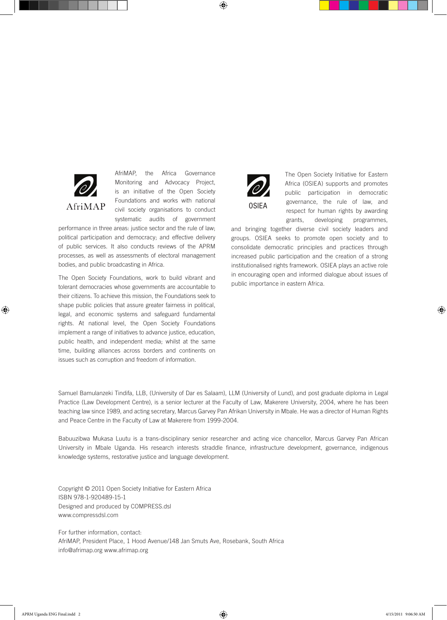

AfriMAP, the Africa Governance Monitoring and Advocacy Project, is an initiative of the Open Society Foundations and works with national civil society organisations to conduct systematic audits of government

performance in three areas: justice sector and the rule of law; political participation and democracy; and effective delivery of public services. It also conducts reviews of the APRM processes, as well as assessments of electoral management bodies, and public broadcasting in Africa.

The Open Society Foundations, work to build vibrant and tolerant democracies whose governments are accountable to their citizens. To achieve this mission, the Foundations seek to shape public policies that assure greater fairness in political, legal, and economic systems and safeguard fundamental rights. At national level, the Open Society Foundations implement a range of initiatives to advance justice, education, public health, and independent media; whilst at the same time, building alliances across borders and continents on issues such as corruption and freedom of information.



The Open Society Initiative for Eastern Africa (OSIEA) supports and promotes public participation in democratic governance, the rule of law, and respect for human rights by awarding grants, developing programmes,

and bringing together diverse civil society leaders and groups. OSIEA seeks to promote open society and to consolidate democratic principles and practices through increased public participation and the creation of a strong institutionalised rights framework. OSIEA plays an active role in encouraging open and informed dialogue about issues of public importance in eastern Africa.

Samuel Bamulanzeki Tindifa, LLB, (University of Dar es Salaam), LLM (University of Lund), and post graduate diploma in Legal Practice (Law Development Centre), is a senior lecturer at the Faculty of Law, Makerere University, 2004, where he has been teaching law since 1989, and acting secretary, Marcus Garvey Pan Afrikan University in Mbale. He was a director of Human Rights and Peace Centre in the Faculty of Law at Makerere from 1999-2004.

Babuuzibwa Mukasa Luutu is a trans-disciplinary senior researcher and acting vice chancellor, Marcus Garvey Pan African University in Mbale Uganda. His research interests straddle finance, infrastructure development, governance, indigenous knowledge systems, restorative justice and language development.

Copyright © 2011 Open Society Initiative for Eastern Africa ISBN 978-1-920489-15-1 Designed and produced by COMPRESS.dsl www.compressdsl.com

For further information, contact: AfriMAP, President Place, 1 Hood Avenue/148 Jan Smuts Ave, Rosebank, South Africa info@afrimap.org www.afrimap.org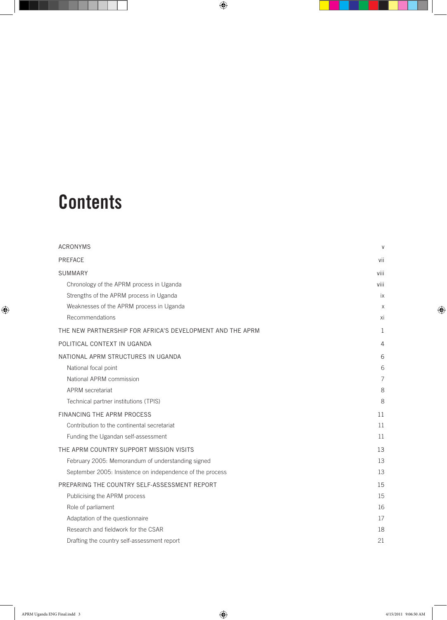# **Contents**

| <b>ACRONYMS</b>                                           | $\vee$         |
|-----------------------------------------------------------|----------------|
| <b>PREFACE</b>                                            | vii            |
| <b>SUMMARY</b>                                            | viii           |
| Chronology of the APRM process in Uganda                  | viii           |
| Strengths of the APRM process in Uganda                   | iх             |
| Weaknesses of the APRM process in Uganda                  | X              |
| Recommendations                                           | Xİ             |
| THE NEW PARTNERSHIP FOR AFRICA'S DEVELOPMENT AND THE APRM | 1              |
| POLITICAL CONTEXT IN UGANDA                               | 4              |
| NATIONAL APRM STRUCTURES IN UGANDA                        | 6              |
| National focal point                                      | 6              |
| National APRM commission                                  | $\overline{7}$ |
| <b>APRM</b> secretariat                                   | 8              |
| Technical partner institutions (TPIS)                     | 8              |
| FINANCING THE APRM PROCESS                                | 11             |
| Contribution to the continental secretariat               | 11             |
| Funding the Ugandan self-assessment                       | 11             |
| THE APRM COUNTRY SUPPORT MISSION VISITS                   | 13             |
| February 2005: Memorandum of understanding signed         | 13             |
| September 2005: Insistence on independence of the process | 13             |
| PREPARING THE COUNTRY SELF-ASSESSMENT REPORT              | 15             |
| Publicising the APRM process                              | 15             |
| Role of parliament                                        | 16             |
| Adaptation of the questionnaire                           | 17             |
| Research and fieldwork for the CSAR                       | 18             |
| Drafting the country self-assessment report               | 21             |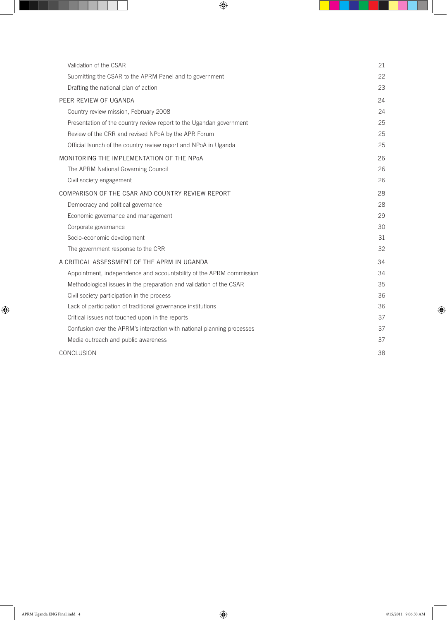| Validation of the CSAR                                                 | 21 |
|------------------------------------------------------------------------|----|
| Submitting the CSAR to the APRM Panel and to government                | 22 |
| Drafting the national plan of action                                   | 23 |
| PEER REVIEW OF UGANDA                                                  | 24 |
| Country review mission, February 2008                                  | 24 |
| Presentation of the country review report to the Ugandan government    | 25 |
| Review of the CRR and revised NPoA by the APR Forum                    | 25 |
| Official launch of the country review report and NPoA in Uganda        | 25 |
| MONITORING THE IMPLEMENTATION OF THE NPoA                              | 26 |
| The APRM National Governing Council                                    | 26 |
| Civil society engagement                                               | 26 |
| COMPARISON OF THE CSAR AND COUNTRY REVIEW REPORT                       | 28 |
| Democracy and political governance                                     | 28 |
| Economic governance and management                                     | 29 |
| Corporate governance                                                   | 30 |
| Socio-economic development                                             | 31 |
| The government response to the CRR                                     | 32 |
| A CRITICAL ASSESSMENT OF THE APRM IN UGANDA                            | 34 |
| Appointment, independence and accountability of the APRM commission    | 34 |
| Methodological issues in the preparation and validation of the CSAR    | 35 |
| Civil society participation in the process                             | 36 |
| Lack of participation of traditional governance institutions           | 36 |
| Critical issues not touched upon in the reports                        | 37 |
| Confusion over the APRM's interaction with national planning processes | 37 |
| Media outreach and public awareness                                    | 37 |
| CONCLUSION                                                             | 38 |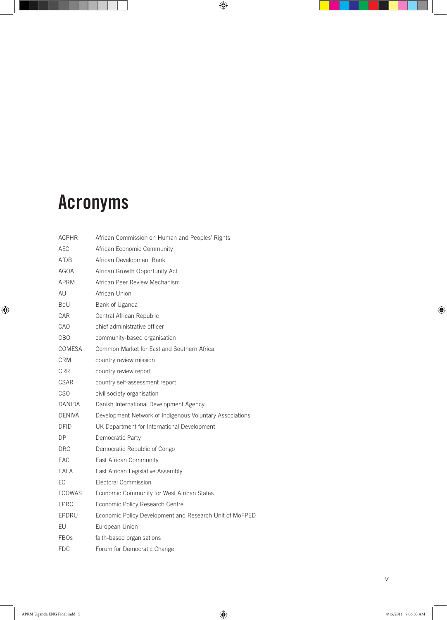# Acronyms

| <b>ACPHR</b>  | African Commission on Human and Peoples' Rights          |
|---------------|----------------------------------------------------------|
| AEC           | African Economic Community                               |
| AfDB          | African Development Bank                                 |
| AGOA          | African Growth Opportunity Act                           |
| APRM          | African Peer Review Mechanism                            |
| AU            | African Union                                            |
| Bol           | Bank of Uganda                                           |
| CAR           | Central African Republic                                 |
| CAO           | chief administrative officer                             |
| CBO           | community-based organisation                             |
| COMESA        | Common Market for East and Southern Africa               |
| CRM           | country review mission                                   |
| CRR           | country review report                                    |
| CSAR          | country self-assessment report                           |
| <b>CSO</b>    | civil society organisation                               |
| DANIDA        | Danish International Development Agency                  |
| <b>DENIVA</b> | Development Network of Indigenous Voluntary Associations |
| DFID          | UK Department for International Development              |
| DP            | Democratic Party                                         |
| <b>DRC</b>    | Democratic Republic of Congo                             |
| EAC           | East African Community                                   |
| EALA          | East African Legislative Assembly                        |
| EC            | Electoral Commission                                     |
| <b>ECOWAS</b> | Economic Community for West African States               |
| <b>EPRC</b>   | Economic Policy Research Centre                          |
| EPDRU         | Economic Policy Development and Research Unit of MoFPED  |
| EU            | European Union                                           |
| <b>FBOs</b>   | faith-based organisations                                |
| <b>FDC</b>    | Forum for Democratic Change                              |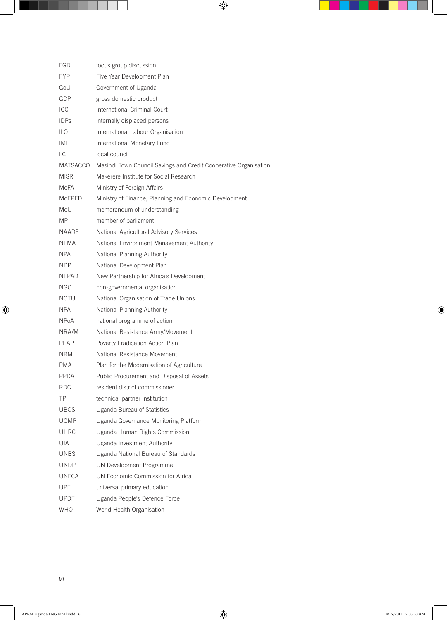| FGD         | focus group discussion                                           |
|-------------|------------------------------------------------------------------|
| <b>FYP</b>  | Five Year Development Plan                                       |
| GoU         | Government of Uganda                                             |
| GDP         | gross domestic product                                           |
| ICC         | International Criminal Court                                     |
| <b>IDPs</b> | internally displaced persons                                     |
| ILO         | International Labour Organisation                                |
| IMF         | International Monetary Fund                                      |
| LC          | local council                                                    |
| MATSACCO    | Masindi Town Council Savings and Credit Cooperative Organisation |
| <b>MISR</b> | Makerere Institute for Social Research                           |
| MoFA        | Ministry of Foreign Affairs                                      |
| MoFPED      | Ministry of Finance, Planning and Economic Development           |
| MoU         | memorandum of understanding                                      |
| MP.         | member of parliament                                             |
| NAADS.      | National Agricultural Advisory Services                          |
| NEMA        | National Environment Management Authority                        |
| <b>NPA</b>  | National Planning Authority                                      |
| <b>NDP</b>  | National Development Plan                                        |
| NEPAD.      | New Partnership for Africa's Development                         |
| NGO         | non-governmental organisation                                    |
| <b>NOTU</b> | National Organisation of Trade Unions                            |
| <b>NPA</b>  | National Planning Authority                                      |
| NPoA        | national programme of action                                     |
| NRA/M       | National Resistance Army/Movement                                |
| PEAP        | Poverty Eradication Action Plan                                  |
| NRM.        | National Resistance Movement                                     |
| <b>PMA</b>  | Plan for the Modernisation of Agriculture                        |
| PPDA        | Public Procurement and Disposal of Assets                        |
| <b>RDC</b>  | resident district commissioner                                   |
| TPI         | technical partner institution                                    |
| UBOS        | Uganda Bureau of Statistics                                      |
| <b>UGMP</b> | Uganda Governance Monitoring Platform                            |
| UHRC        | Uganda Human Rights Commission                                   |
| UIA         | Uganda Investment Authority                                      |
| UNBS        | Uganda National Bureau of Standards                              |
| <b>UNDP</b> | UN Development Programme                                         |
| UNECA       | UN Economic Commission for Africa                                |
| <b>UPE</b>  | universal primary education                                      |
| <b>UPDF</b> | Uganda People's Defence Force                                    |
| WHO         | World Health Organisation                                        |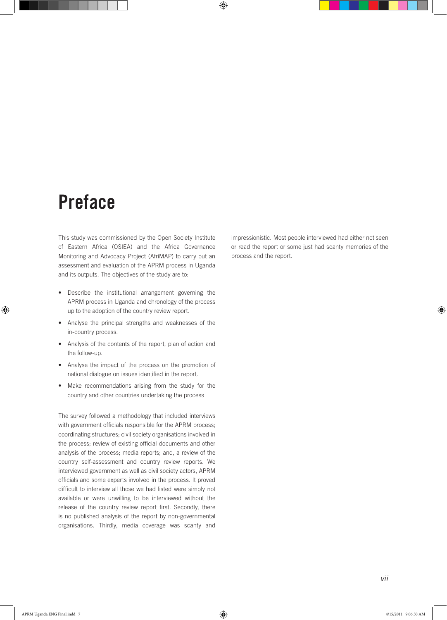## Preface

This study was commissioned by the Open Society Institute of Eastern Africa (OSIEA) and the Africa Governance Monitoring and Advocacy Project (AfriMAP) to carry out an assessment and evaluation of the APRM process in Uganda and its outputs. The objectives of the study are to:

- • Describe the institutional arrangement governing the APRM process in Uganda and chronology of the process up to the adoption of the country review report.
- • Analyse the principal strengths and weaknesses of the in-country process.
- Analysis of the contents of the report, plan of action and the follow-up.
- Analyse the impact of the process on the promotion of national dialogue on issues identified in the report.
- Make recommendations arising from the study for the country and other countries undertaking the process

The survey followed a methodology that included interviews with government officials responsible for the APRM process; coordinating structures; civil society organisations involved in the process; review of existing official documents and other analysis of the process; media reports; and, a review of the country self-assessment and country review reports. We interviewed government as well as civil society actors, APRM officials and some experts involved in the process. It proved difficult to interview all those we had listed were simply not available or were unwilling to be interviewed without the release of the country review report first. Secondly, there is no published analysis of the report by non-governmental organisations. Thirdly, media coverage was scanty and

impressionistic. Most people interviewed had either not seen or read the report or some just had scanty memories of the process and the report.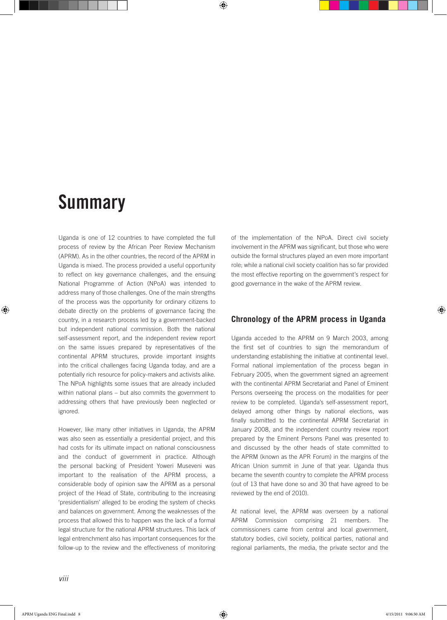## **Summary**

Uganda is one of 12 countries to have completed the full process of review by the African Peer Review Mechanism (APRM). As in the other countries, the record of the APRM in Uganda is mixed. The process provided a useful opportunity to reflect on key governance challenges, and the ensuing National Programme of Action (NPoA) was intended to address many of those challenges. One of the main strengths of the process was the opportunity for ordinary citizens to debate directly on the problems of governance facing the country, in a research process led by a government-backed but independent national commission. Both the national self-assessment report, and the independent review report on the same issues prepared by representatives of the continental APRM structures, provide important insights into the critical challenges facing Uganda today, and are a potentially rich resource for policy-makers and activists alike. The NPoA highlights some issues that are already included within national plans – but also commits the government to addressing others that have previously been neglected or ignored.

However, like many other initiatives in Uganda, the APRM was also seen as essentially a presidential project, and this had costs for its ultimate impact on national consciousness and the conduct of government in practice. Although the personal backing of President Yoweri Museveni was important to the realisation of the APRM process, a considerable body of opinion saw the APRM as a personal project of the Head of State, contributing to the increasing 'presidentialism' alleged to be eroding the system of checks and balances on government. Among the weaknesses of the process that allowed this to happen was the lack of a formal legal structure for the national APRM structures. This lack of legal entrenchment also has important consequences for the follow-up to the review and the effectiveness of monitoring

of the implementation of the NPoA. Direct civil society involvement in the APRM was significant, but those who were outside the formal structures played an even more important role; while a national civil society coalition has so far provided the most effective reporting on the government's respect for good governance in the wake of the APRM review.

## **Chronology of the APRM process in Uganda**

Uganda acceded to the APRM on 9 March 2003, among the first set of countries to sign the memorandum of understanding establishing the initiative at continental level. Formal national implementation of the process began in February 2005, when the government signed an agreement with the continental APRM Secretariat and Panel of Eminent Persons overseeing the process on the modalities for peer review to be completed. Uganda's self-assessment report, delayed among other things by national elections, was finally submitted to the continental APRM Secretariat in January 2008, and the independent country review report prepared by the Eminent Persons Panel was presented to and discussed by the other heads of state committed to the APRM (known as the APR Forum) in the margins of the African Union summit in June of that year. Uganda thus became the seventh country to complete the APRM process (out of 13 that have done so and 30 that have agreed to be reviewed by the end of 2010).

At national level, the APRM was overseen by a national APRM Commission comprising 21 members. The commissioners came from central and local government, statutory bodies, civil society, political parties, national and regional parliaments, the media, the private sector and the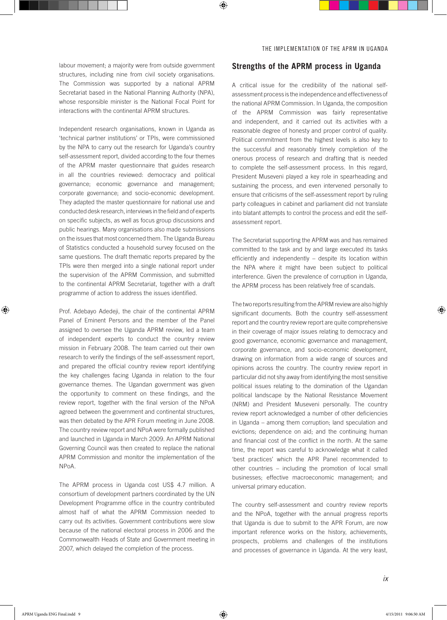labour movement; a majority were from outside government structures, including nine from civil society organisations. The Commission was supported by a national APRM Secretariat based in the National Planning Authority (NPA), whose responsible minister is the National Focal Point for interactions with the continental APRM structures.

Independent research organisations, known in Uganda as 'technical partner institutions' or TPIs, were commissioned by the NPA to carry out the research for Uganda's country self-assessment report, divided according to the four themes of the APRM master questionnaire that guides research in all the countries reviewed: democracy and political governance; economic governance and management; corporate governance; and socio-economic development. They adapted the master questionnaire for national use and conducted desk research, interviews in the field and of experts on specific subjects, as well as focus group discussions and public hearings. Many organisations also made submissions on the issues that most concerned them. The Uganda Bureau of Statistics conducted a household survey focused on the same questions. The draft thematic reports prepared by the TPIs were then merged into a single national report under the supervision of the APRM Commission, and submitted to the continental APRM Secretariat, together with a draft programme of action to address the issues identified.

Prof. Adebayo Adedeji, the chair of the continental APRM Panel of Eminent Persons and the member of the Panel assigned to oversee the Uganda APRM review, led a team of independent experts to conduct the country review mission in February 2008. The team carried out their own research to verify the findings of the self-assessment report, and prepared the official country review report identifying the key challenges facing Uganda in relation to the four governance themes. The Ugandan government was given the opportunity to comment on these findings, and the review report, together with the final version of the NPoA agreed between the government and continental structures, was then debated by the APR Forum meeting in June 2008. The country review report and NPoA were formally published and launched in Uganda in March 2009. An APRM National Governing Council was then created to replace the national APRM Commission and monitor the implementation of the NPoA.

The APRM process in Uganda cost US\$ 4.7 million. A consortium of development partners coordinated by the UN Development Programme office in the country contributed almost half of what the APRM Commission needed to carry out its activities. Government contributions were slow because of the national electoral process in 2006 and the Commonwealth Heads of State and Government meeting in 2007, which delayed the completion of the process.

#### **Strengths of the APRM process in Uganda**

A critical issue for the credibility of the national selfassessment process is the independence and effectiveness of the national APRM Commission. In Uganda, the composition of the APRM Commission was fairly representative and independent, and it carried out its activities with a reasonable degree of honesty and proper control of quality. Political commitment from the highest levels is also key to the successful and reasonably timely completion of the onerous process of research and drafting that is needed to complete the self-assessment process. In this regard, President Museveni played a key role in spearheading and sustaining the process, and even intervened personally to ensure that criticisms of the self-assessment report by ruling party colleagues in cabinet and parliament did not translate into blatant attempts to control the process and edit the selfassessment report.

The Secretariat supporting the APRM was and has remained committed to the task and by and large executed its tasks efficiently and independently – despite its location within the NPA where it might have been subject to political interference. Given the prevalence of corruption in Uganda, the APRM process has been relatively free of scandals.

The two reports resulting from the APRM review are also highly significant documents. Both the country self-assessment report and the country review report are quite comprehensive in their coverage of major issues relating to democracy and good governance, economic governance and management, corporate governance, and socio-economic development, drawing on information from a wide range of sources and opinions across the country. The country review report in particular did not shy away from identifying the most sensitive political issues relating to the domination of the Ugandan political landscape by the National Resistance Movement (NRM) and President Museveni personally. The country review report acknowledged a number of other deficiencies in Uganda – among them corruption; land speculation and evictions; dependence on aid; and the continuing human and financial cost of the conflict in the north. At the same time, the report was careful to acknowledge what it called 'best practices' which the APR Panel recommended to other countries – including the promotion of local small businesses; effective macroeconomic management; and universal primary education.

The country self-assessment and country review reports and the NPoA, together with the annual progress reports that Uganda is due to submit to the APR Forum, are now important reference works on the history, achievements, prospects, problems and challenges of the institutions and processes of governance in Uganda. At the very least,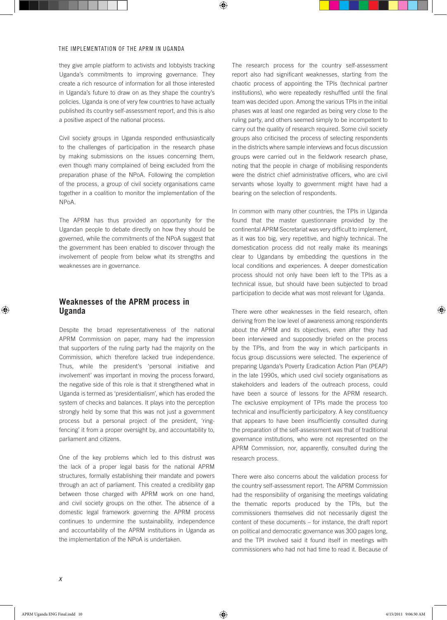they give ample platform to activists and lobbyists tracking Uganda's commitments to improving governance. They create a rich resource of information for all those interested in Uganda's future to draw on as they shape the country's policies. Uganda is one of very few countries to have actually published its country self-assessment report, and this is also a positive aspect of the national process.

Civil society groups in Uganda responded enthusiastically to the challenges of participation in the research phase by making submissions on the issues concerning them, even though many complained of being excluded from the preparation phase of the NPoA. Following the completion of the process, a group of civil society organisations came together in a coalition to monitor the implementation of the NPoA.

The APRM has thus provided an opportunity for the Ugandan people to debate directly on how they should be governed, while the commitments of the NPoA suggest that the government has been enabled to discover through the involvement of people from below what its strengths and weaknesses are in governance.

## **Weaknesses of the APRM process in Uganda**

Despite the broad representativeness of the national APRM Commission on paper, many had the impression that supporters of the ruling party had the majority on the Commission, which therefore lacked true independence. Thus, while the president's 'personal initiative and involvement' was important in moving the process forward, the negative side of this role is that it strengthened what in Uganda is termed as 'presidentialism', which has eroded the system of checks and balances. It plays into the perception strongly held by some that this was not just a government process but a personal project of the president, 'ringfencing' it from a proper oversight by, and accountability to, parliament and citizens.

One of the key problems which led to this distrust was the lack of a proper legal basis for the national APRM structures, formally establishing their mandate and powers through an act of parliament. This created a credibility gap between those charged with APRM work on one hand, and civil society groups on the other. The absence of a domestic legal framework governing the APRM process continues to undermine the sustainability, independence and accountability of the APRM institutions in Uganda as the implementation of the NPoA is undertaken.

The research process for the country self-assessment report also had significant weaknesses, starting from the chaotic process of appointing the TPIs (technical partner institutions), who were repeatedly reshuffled until the final team was decided upon. Among the various TPIs in the initial phases was at least one regarded as being very close to the ruling party, and others seemed simply to be incompetent to carry out the quality of research required. Some civil society groups also criticised the process of selecting respondents in the districts where sample interviews and focus discussion groups were carried out in the fieldwork research phase, noting that the people in charge of mobilising respondents were the district chief administrative officers, who are civil servants whose loyalty to government might have had a bearing on the selection of respondents.

In common with many other countries, the TPIs in Uganda found that the master questionnaire provided by the continental APRM Secretariat was very difficult to implement, as it was too big, very repetitive, and highly technical. The domestication process did not really make its meanings clear to Ugandans by embedding the questions in the local conditions and experiences. A deeper domestication process should not only have been left to the TPIs as a technical issue, but should have been subjected to broad participation to decide what was most relevant for Uganda.

There were other weaknesses in the field research, often deriving from the low level of awareness among respondents about the APRM and its objectives, even after they had been interviewed and supposedly briefed on the process by the TPIs, and from the way in which participants in focus group discussions were selected. The experience of preparing Uganda's Poverty Eradication Action Plan (PEAP) in the late 1990s, which used civil society organisations as stakeholders and leaders of the outreach process, could have been a source of lessons for the APRM research. The exclusive employment of TPIs made the process too technical and insufficiently participatory. A key constituency that appears to have been insufficiently consulted during the preparation of the self-assessment was that of traditional governance institutions, who were not represented on the APRM Commission, nor, apparently, consulted during the research process.

There were also concerns about the validation process for the country self-assessment report. The APRM Commission had the responsibility of organising the meetings validating the thematic reports produced by the TPIs, but the commissioners themselves did not necessarily digest the content of these documents – for instance, the draft report on political and democratic governance was 300 pages long, and the TPI involved said it found itself in meetings with commissioners who had not had time to read it. Because of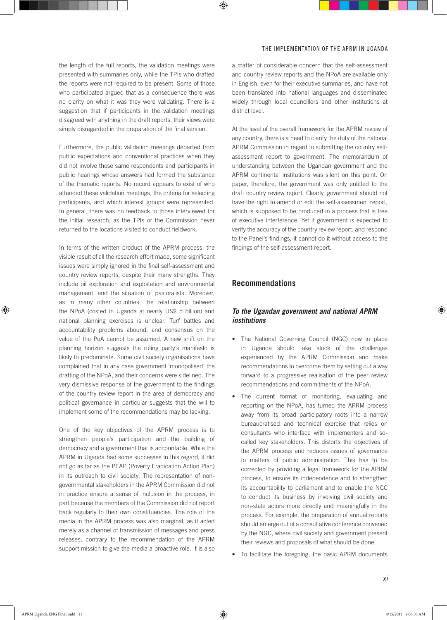the length of the full reports, the validation meetings were presented with summaries only, while the TPIs who drafted the reports were not required to be present. Some of those who participated argued that as a consequence there was no clarity on what it was they were validating. There is a suggestion that if participants in the validation meetings disagreed with anything in the draft reports, their views were simply disregarded in the preparation of the final version.

Furthermore, the public validation meetings departed from public expectations and conventional practices when they did not involve those same respondents and participants in public hearings whose answers had formed the substance of the thematic reports. No record appears to exist of who attended these validation meetings, the criteria for selecting participants, and which interest groups were represented. In general, there was no feedback to those interviewed for the initial research, as the TPIs or the Commission never returned to the locations visited to conduct fieldwork.

In terms of the written product of the APRM process, the visible result of all the research effort made, some significant issues were simply ignored in the final self-assessment and country review reports, despite their many strengths. They include oil exploration and exploitation and environmental management, and the situation of pastoralists. Moreover, as in many other countries, the relationship between the NPoA (costed in Uganda at nearly US\$ 5 billion) and national planning exercises is unclear. Turf battles and accountability problems abound, and consensus on the value of the PoA cannot be assumed. A new shift on the planning horizon suggests the ruling party's manifesto is likely to predominate. Some civil society organisations have complained that in any case government 'monopolised' the drafting of the NPoA, and their concerns were sidelined. The very dismissive response of the government to the findings of the country review report in the area of democracy and political governance in particular suggests that the will to implement some of the recommendations may be lacking.

One of the key objectives of the APRM process is to strengthen people's participation and the building of democracy and a government that is accountable. While the APRM in Uganda had some successes in this regard, it did not go as far as the PEAP (Poverty Eradication Action Plan) in its outreach to civil society. The representation of nongovernmental stakeholders in the APRM Commission did not in practice ensure a sense of inclusion in the process, in part because the members of the Commission did not report back regularly to their own constituencies. The role of the media in the APRM process was also marginal, as it acted merely as a channel of transmission of messages and press releases, contrary to the recommendation of the APRM support mission to give the media a proactive role. It is also

a matter of considerable concern that the self-assessment and country review reports and the NPoA are available only in English, even for their executive summaries, and have not been translated into national languages and disseminated widely through local councillors and other institutions at district level.

At the level of the overall framework for the APRM review of any country, there is a need to clarify the duty of the national APRM Commission in regard to submitting the country selfassessment report to government. The memorandum of understanding between the Ugandan government and the APRM continental institutions was silent on this point. On paper, therefore, the government was only entitled to the draft country review report. Clearly, government should not have the right to amend or edit the self-assessment report, which is supposed to be produced in a process that is free of executive interference. Yet if government is expected to verify the accuracy of the country review report, and respond to the Panel's findings, it cannot do it without access to the findings of the self-assessment report.

## **Recommendations**

### *To the Ugandan government and national APRM institutions*

- The National Governing Council (NGC) now in place in Uganda should take stock of the challenges experienced by the APRM Commission and make recommendations to overcome them by setting out a way forward to a progressive realisation of the peer review recommendations and commitments of the NPoA.
- The current format of monitoring, evaluating and reporting on the NPoA, has turned the APRM process away from its broad participatory roots into a narrow bureaucratised and technical exercise that relies on consultants who interface with implementers and socalled key stakeholders. This distorts the objectives of the APRM process and reduces issues of governance to matters of public administration. This has to be corrected by providing a legal framework for the APRM process, to ensure its independence and to strengthen its accountability to parliament and to enable the NGC to conduct its business by involving civil society and non-state actors more directly and meaningfully in the process. For example, the preparation of annual reports should emerge out of a consultative conference convened by the NGC, where civil society and government present their reviews and proposals of what should be done.
- • To facilitate the foregoing, the basic APRM documents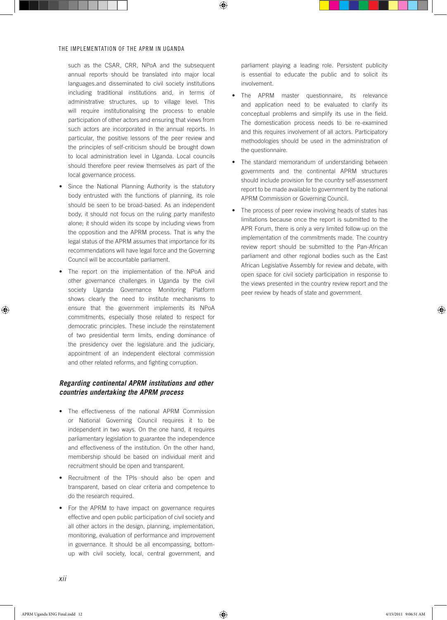such as the CSAR, CRR, NPoA and the subsequent annual reports should be translated into major local languages.and disseminated to civil society institutions including traditional institutions and, in terms of administrative structures, up to village level. This will require institutionalising the process to enable participation of other actors and ensuring that views from such actors are incorporated in the annual reports. In particular, the positive lessons of the peer review and the principles of self-criticism should be brought down to local administration level in Uganda. Local councils should therefore peer review themselves as part of the local governance process.

- Since the National Planning Authority is the statutory body entrusted with the functions of planning, its role should be seen to be broad-based. As an independent body, it should not focus on the ruling party manifesto alone; it should widen its scope by including views from the opposition and the APRM process. That is why the legal status of the APRM assumes that importance for its recommendations will have legal force and the Governing Council will be accountable parliament.
- The report on the implementation of the NPoA and other governance challenges in Uganda by the civil society Uganda Governance Monitoring Platform shows clearly the need to institute mechanisms to ensure that the government implements its NPoA commitments, especially those related to respect for democratic principles. These include the reinstatement of two presidential term limits, ending dominance of the presidency over the legislature and the judiciary, appointment of an independent electoral commission and other related reforms, and fighting corruption.

## *Regarding continental APRM institutions and other countries undertaking the APRM process*

- The effectiveness of the national APRM Commission or National Governing Council requires it to be independent in two ways. On the one hand, it requires parliamentary legislation to guarantee the independence and effectiveness of the institution. On the other hand, membership should be based on individual merit and recruitment should be open and transparent.
- Recruitment of the TPIs should also be open and transparent, based on clear criteria and competence to do the research required.
- For the APRM to have impact on governance requires effective and open public participation of civil society and all other actors in the design, planning, implementation, monitoring, evaluation of performance and improvement in governance. It should be all encompassing, bottomup with civil society, local, central government, and

parliament playing a leading role. Persistent publicity is essential to educate the public and to solicit its involvement.

- The APRM master questionnaire, its relevance and application need to be evaluated to clarify its conceptual problems and simplify its use in the field. The domestication process needs to be re-examined and this requires involvement of all actors. Participatory methodologies should be used in the administration of the questionnaire.
- The standard memorandum of understanding between governments and the continental APRM structures should include provision for the country self-assessment report to be made available to government by the national APRM Commission or Governing Council.
- The process of peer review involving heads of states has limitations because once the report is submitted to the APR Forum, there is only a very limited follow-up on the implementation of the commitments made. The country review report should be submitted to the Pan-African parliament and other regional bodies such as the East African Legislative Assembly for review and debate, with open space for civil society participation in response to the views presented in the country review report and the peer review by heads of state and government.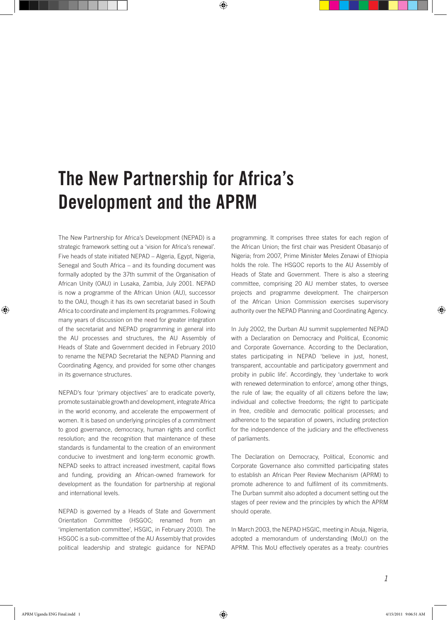# The New Partnership for Africa's Development and the APRM

The New Partnership for Africa's Development (NEPAD) is a strategic framework setting out a 'vision for Africa's renewal'. Five heads of state initiated NEPAD – Algeria, Egypt, Nigeria, Senegal and South Africa – and its founding document was formally adopted by the 37th summit of the Organisation of African Unity (OAU) in Lusaka, Zambia, July 2001. NEPAD is now a programme of the African Union (AU), successor to the OAU, though it has its own secretariat based in South Africa to coordinate and implement its programmes. Following many years of discussion on the need for greater integration of the secretariat and NEPAD programming in general into the AU processes and structures, the AU Assembly of Heads of State and Government decided in February 2010 to rename the NEPAD Secretariat the NEPAD Planning and Coordinating Agency, and provided for some other changes in its governance structures.

NEPAD's four 'primary objectives' are to eradicate poverty, promote sustainable growth and development, integrate Africa in the world economy, and accelerate the empowerment of women. It is based on underlying principles of a commitment to good governance, democracy, human rights and conflict resolution; and the recognition that maintenance of these standards is fundamental to the creation of an environment conducive to investment and long-term economic growth. NEPAD seeks to attract increased investment, capital flows and funding, providing an African-owned framework for development as the foundation for partnership at regional and international levels.

NEPAD is governed by a Heads of State and Government Orientation Committee (HSGOC; renamed from an 'implementation committee', HSGIC, in February 2010). The HSGOC is a sub-committee of the AU Assembly that provides political leadership and strategic guidance for NEPAD

programming. It comprises three states for each region of the African Union; the first chair was President Obasanjo of Nigeria; from 2007, Prime Minister Meles Zenawi of Ethiopia holds the role. The HSGOC reports to the AU Assembly of Heads of State and Government. There is also a steering committee, comprising 20 AU member states, to oversee projects and programme development. The chairperson of the African Union Commission exercises supervisory authority over the NEPAD Planning and Coordinating Agency.

In July 2002, the Durban AU summit supplemented NEPAD with a Declaration on Democracy and Political, Economic and Corporate Governance. According to the Declaration, states participating in NEPAD 'believe in just, honest, transparent, accountable and participatory government and probity in public life'. Accordingly, they 'undertake to work with renewed determination to enforce', among other things, the rule of law; the equality of all citizens before the law; individual and collective freedoms; the right to participate in free, credible and democratic political processes; and adherence to the separation of powers, including protection for the independence of the judiciary and the effectiveness of parliaments.

The Declaration on Democracy, Political, Economic and Corporate Governance also committed participating states to establish an African Peer Review Mechanism (APRM) to promote adherence to and fulfilment of its commitments. The Durban summit also adopted a document setting out the stages of peer review and the principles by which the APRM should operate.

In March 2003, the NEPAD HSGIC, meeting in Abuja, Nigeria, adopted a memorandum of understanding (MoU) on the APRM. This MoU effectively operates as a treaty: countries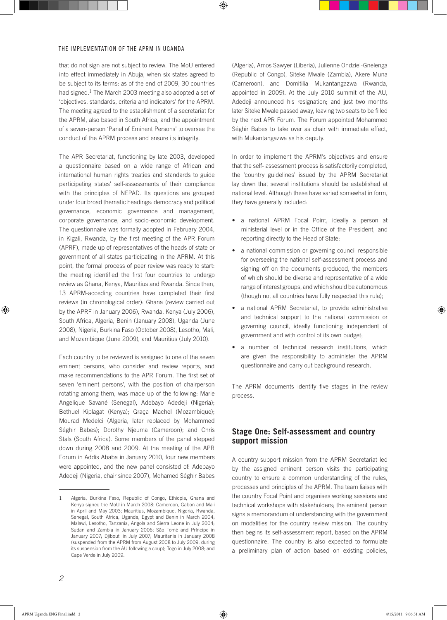that do not sign are not subject to review. The MoU entered into effect immediately in Abuja, when six states agreed to be subject to its terms: as of the end of 2009, 30 countries had signed.<sup>1</sup> The March 2003 meeting also adopted a set of 'objectives, standards, criteria and indicators' for the APRM. The meeting agreed to the establishment of a secretariat for the APRM, also based in South Africa, and the appointment of a seven-person 'Panel of Eminent Persons' to oversee the conduct of the APRM process and ensure its integrity.

The APR Secretariat, functioning by late 2003, developed a questionnaire based on a wide range of African and international human rights treaties and standards to guide participating states' self-assessments of their compliance with the principles of NEPAD. Its questions are grouped under four broad thematic headings: democracy and political governance, economic governance and management, corporate governance, and socio-economic development. The questionnaire was formally adopted in February 2004, in Kigali, Rwanda, by the first meeting of the APR Forum (APRF), made up of representatives of the heads of state or government of all states participating in the APRM. At this point, the formal process of peer review was ready to start: the meeting identified the first four countries to undergo review as Ghana, Kenya, Mauritius and Rwanda. Since then, 13 APRM-acceding countries have completed their first reviews (in chronological order): Ghana (review carried out by the APRF in January 2006), Rwanda, Kenya (July 2006), South Africa, Algeria, Benin (January 2008), Uganda (June 2008), Nigeria, Burkina Faso (October 2008), Lesotho, Mali, and Mozambique (June 2009), and Mauritius (July 2010).

Each country to be reviewed is assigned to one of the seven eminent persons, who consider and review reports, and make recommendations to the APR Forum. The first set of seven 'eminent persons', with the position of chairperson rotating among them, was made up of the following: Marie Angelique Savané (Senegal), Adebayo Adedeji (Nigeria); Bethuel Kiplagat (Kenya); Graça Machel (Mozambique); Mourad Medelci (Algeria, later replaced by Mohammed Séghir Babes); Dorothy Njeuma (Cameroon); and Chris Stals (South Africa). Some members of the panel stepped down during 2008 and 2009. At the meeting of the APR Forum in Addis Ababa in January 2010, four new members were appointed, and the new panel consisted of: Adebayo Adedeji (Nigeria, chair since 2007), Mohamed Séghir Babes

(Algeria), Amos Sawyer (Liberia), Julienne Ondziel-Gnelenga (Republic of Congo), Siteke Mwale (Zambia), Akere Muna (Cameroon), and Domitilia Mukantangazwa (Rwanda, appointed in 2009). At the July 2010 summit of the AU, Adedeji announced his resignation; and just two months later Siteke Mwale passed away, leaving two seats to be filled by the next APR Forum. The Forum appointed Mohammed Séghir Babes to take over as chair with immediate effect, with Mukantangazwa as his deputy.

In order to implement the APRM's objectives and ensure that the self- assessment process is satisfactorily completed, the 'country guidelines' issued by the APRM Secretariat lay down that several institutions should be established at national level. Although these have varied somewhat in form, they have generally included:

- a national APRM Focal Point, ideally a person at ministerial level or in the Office of the President, and reporting directly to the Head of State;
- a national commission or governing council responsible for overseeing the national self-assessment process and signing off on the documents produced, the members of which should be diverse and representative of a wide range of interest groups, and which should be autonomous (though not all countries have fully respected this rule);
- a national APRM Secretariat, to provide administrative and technical support to the national commission or governing council, ideally functioning independent of government and with control of its own budget;
- a number of technical research institutions, which are given the responsibility to administer the APRM questionnaire and carry out background research.

The APRM documents identify five stages in the review process.

### **Stage One: Self-assessment and country support mission**

A country support mission from the APRM Secretariat led by the assigned eminent person visits the participating country to ensure a common understanding of the rules, processes and principles of the APRM. The team liaises with the country Focal Point and organises working sessions and technical workshops with stakeholders; the eminent person signs a memorandum of understanding with the government on modalities for the country review mission. The country then begins its self-assessment report, based on the APRM questionnaire. The country is also expected to formulate a preliminary plan of action based on existing policies,

<sup>1</sup> Algeria, Burkina Faso, Republic of Congo, Ethiopia, Ghana and Kenya signed the MoU in March 2003; Cameroon, Gabon and Mali in April and May 2003; Mauritius, Mozambique, Nigeria, Rwanda, Senegal, South Africa, Uganda, Egypt and Benin in March 2004; Malawi, Lesotho, Tanzania, Angola and Sierra Leone in July 2004; Sudan and Zambia in January 2006; São Tomé and Príncipe in January 2007; Djibouti in July 2007; Mauritania in January 2008 (suspended from the APRM from August 2008 to July 2009, during its suspension from the AU following a coup); Togo in July 2008; and Cape Verde in July 2009.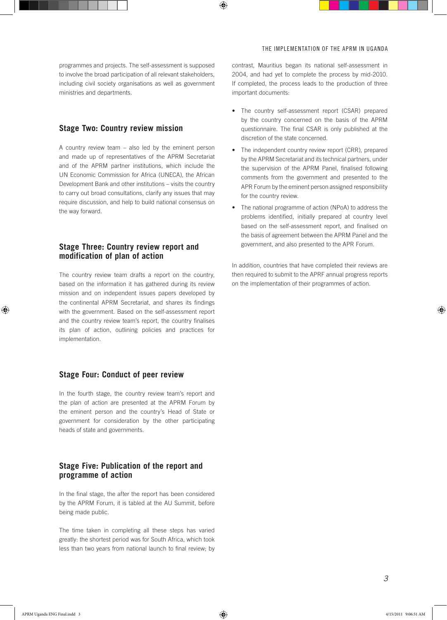programmes and projects. The self-assessment is supposed to involve the broad participation of all relevant stakeholders, including civil society organisations as well as government ministries and departments.

## **Stage Two: Country review mission**

A country review team – also led by the eminent person and made up of representatives of the APRM Secretariat and of the APRM partner institutions, which include the UN Economic Commission for Africa (UNECA), the African Development Bank and other institutions – visits the country to carry out broad consultations, clarify any issues that may require discussion, and help to build national consensus on the way forward.

## **Stage Three: Country review report and modification of plan of action**

The country review team drafts a report on the country, based on the information it has gathered during its review mission and on independent issues papers developed by the continental APRM Secretariat, and shares its findings with the government. Based on the self-assessment report and the country review team's report, the country finalises its plan of action, outlining policies and practices for implementation.

### **Stage Four: Conduct of peer review**

In the fourth stage, the country review team's report and the plan of action are presented at the APRM Forum by the eminent person and the country's Head of State or government for consideration by the other participating heads of state and governments.

## **Stage Five: Publication of the report and programme of action**

In the final stage, the after the report has been considered by the APRM Forum, it is tabled at the AU Summit, before being made public.

The time taken in completing all these steps has varied greatly: the shortest period was for South Africa, which took less than two years from national launch to final review; by contrast, Mauritius began its national self-assessment in 2004, and had yet to complete the process by mid-2010. If completed, the process leads to the production of three important documents:

- The country self-assessment report (CSAR) prepared by the country concerned on the basis of the APRM questionnaire. The final CSAR is only published at the discretion of the state concerned.
- The independent country review report (CRR), prepared by the APRM Secretariat and its technical partners, under the supervision of the APRM Panel, finalised following comments from the government and presented to the APR Forum by the eminent person assigned responsibility for the country review.
- The national programme of action (NPoA) to address the problems identified, initially prepared at country level based on the self-assessment report, and finalised on the basis of agreement between the APRM Panel and the government, and also presented to the APR Forum.

In addition, countries that have completed their reviews are then required to submit to the APRF annual progress reports on the implementation of their programmes of action.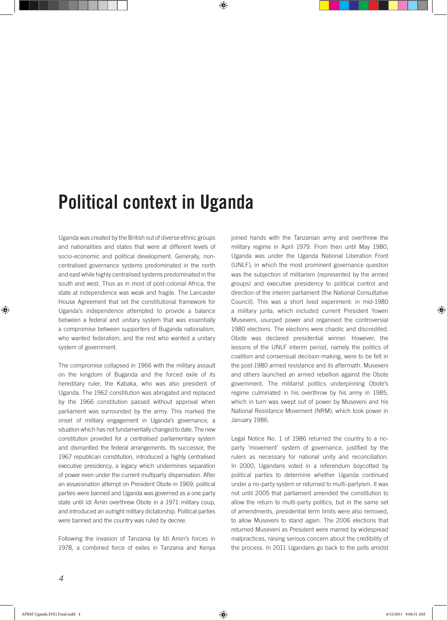## Political context in Uganda

Uganda was created by the British out of diverse ethnic groups and nationalities and states that were at different levels of socio-economic and political development. Generally, noncentralised governance systems predominated in the north and east while highly centralised systems predominated in the south and west. Thus as in most of post-colonial Africa, the state at independence was weak and fragile. The Lancaster House Agreement that set the constitutional framework for Uganda's independence attempted to provide a balance between a federal and unitary system that was essentially a compromise between supporters of Buganda nationalism, who wanted federalism, and the rest who wanted a unitary system of government.

The compromise collapsed in 1966 with the military assault on the kingdom of Buganda and the forced exile of its hereditary ruler, the Kabaka, who was also president of Uganda. The 1962 constitution was abrogated and replaced by the 1966 constitution passed without approval when parliament was surrounded by the army. This marked the onset of military engagement in Uganda's governance, a situation which has not fundamentally changed to date. The new constitution provided for a centralised parliamentary system and dismantled the federal arrangements. Its successor, the 1967 republican constitution, introduced a highly centralised executive presidency, a legacy which undermines separation of power even under the current multiparty dispensation. After an assassination attempt on President Obote in 1969, political parties were banned and Uganda was governed as a one party state until Idi Amin overthrew Obote in a 1971 military coup, and introduced an outright military dictatorship. Political parties were banned and the country was ruled by decree.

Following the invasion of Tanzania by Idi Amin's forces in 1978, a combined force of exiles in Tanzania and Kenya

joined hands with the Tanzanian army and overthrew the military regime in April 1979. From then until May 1980, Uganda was under the Uganda National Liberation Front (UNLF), in which the most prominent governance question was the subjection of militarism (represented by the armed groups) and executive presidency to political control and direction of the interim parliament (the National Consultative Council). This was a short lived experiment: in mid-1980 a military junta, which included current President Yoweri Museveni, usurped power and organised the controversial 1980 elections. The elections were chaotic and discredited. Obote was declared presidential winner. However, the lessons of the UNLF interim period, namely the politics of coalition and consensual decision-making, were to be felt in the post-1980 armed resistance and its aftermath. Museveni and others launched an armed rebellion against the Obote government. The militarist politics underpinning Obote's regime culminated in his overthrow by his army in 1985, which in turn was swept out of power by Museveni and his National Resistance Movement (NRM), which took power in January 1986.

Legal Notice No. 1 of 1986 returned the country to a noparty 'movement' system of governance, justified by the rulers as necessary for national unity and reconciliation. In 2000, Ugandans voted in a referendum boycotted by political parties to determine whether Uganda continued under a no-party system or returned to multi-partyism. It was not until 2005 that parliament amended the constitution to allow the return to multi-party politics; but in the same set of amendments, presidential term limits were also removed, to allow Museveni to stand again. The 2006 elections that returned Museveni as President were marred by widespread malpractices, raising serious concern about the credibility of the process. In 2011 Ugandans go back to the polls amidst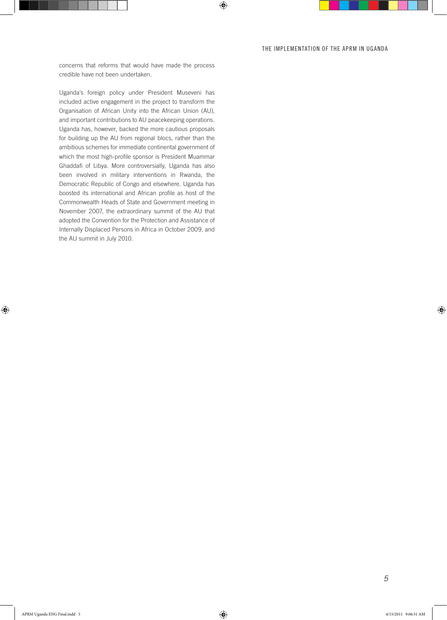concerns that reforms that would have made the process credible have not been undertaken.

Uganda's foreign policy under President Museveni has included active engagement in the project to transform the Organisation of African Unity into the African Union (AU), and important contributions to AU peacekeeping operations. Uganda has, however, backed the more cautious proposals for building up the AU from regional blocs, rather than the ambitious schemes for immediate continental government of which the most high-profile sponsor is President Muammar Ghaddafi of Libya. More controversially, Uganda has also been involved in military interventions in Rwanda, the Democratic Republic of Congo and elsewhere. Uganda has boosted its international and African profile as host of the Commonwealth Heads of State and Government meeting in November 2007, the extraordinary summit of the AU that adopted the Convention for the Protection and Assistance of Internally Displaced Persons in Africa in October 2009, and the AU summit in July 2010.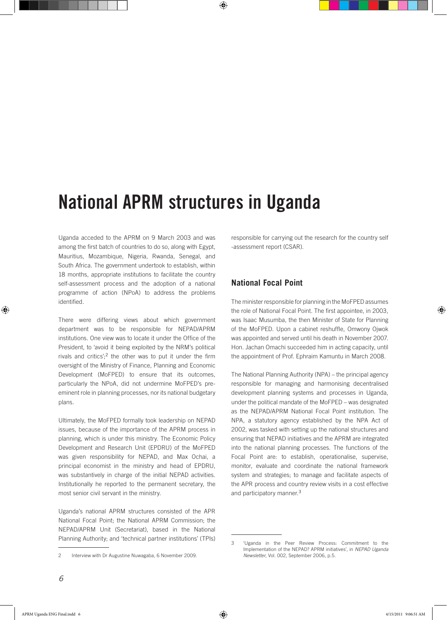## National APRM structures in Uganda

Uganda acceded to the APRM on 9 March 2003 and was among the first batch of countries to do so, along with Egypt, Mauritius, Mozambique, Nigeria, Rwanda, Senegal, and South Africa. The government undertook to establish, within 18 months, appropriate institutions to facilitate the country self-assessment process and the adoption of a national programme of action (NPoA) to address the problems identified.

There were differing views about which government department was to be responsible for NEPAD/APRM institutions. One view was to locate it under the Office of the President, to 'avoid it being exploited by the NRM's political rivals and critics': $2$  the other was to put it under the firm oversight of the Ministry of Finance, Planning and Economic Development (MoFPED) to ensure that its outcomes, particularly the NPoA, did not undermine MoFPED's preeminent role in planning processes, nor its national budgetary plans.

Ultimately, the MoFPED formally took leadership on NEPAD issues, because of the importance of the APRM process in planning, which is under this ministry. The Economic Policy Development and Research Unit (EPDRU) of the MoFPED was given responsibility for NEPAD, and Max Ochai, a principal economist in the ministry and head of EPDRU, was substantively in charge of the initial NEPAD activities. Institutionally he reported to the permanent secretary, the most senior civil servant in the ministry.

Uganda's national APRM structures consisted of the APR National Focal Point; the National APRM Commission; the NEPAD/APRM Unit (Secretariat), based in the National Planning Authority; and 'technical partner institutions' (TPIs) responsible for carrying out the research for the country self -assessment report (CSAR).

## **National Focal Point**

The minister responsible for planning in the MoFPED assumes the role of National Focal Point. The first appointee, in 2003, was Isaac Musumba, the then Minister of State for Planning of the MoFPED. Upon a cabinet reshuffle, Omwony Ojwok was appointed and served until his death in November 2007. Hon. Jachan Omachi succeeded him in acting capacity, until the appointment of Prof. Ephraim Kamuntu in March 2008.

The National Planning Authority (NPA) – the principal agency responsible for managing and harmonising decentralised development planning systems and processes in Uganda, under the political mandate of the MoFPED – was designated as the NEPAD/APRM National Focal Point institution. The NPA, a statutory agency established by the NPA Act of 2002, was tasked with setting up the national structures and ensuring that NEPAD initiatives and the APRM are integrated into the national planning processes. The functions of the Focal Point are: to establish, operationalise, supervise, monitor, evaluate and coordinate the national framework system and strategies; to manage and facilitate aspects of the APR process and country review visits in a cost effective and participatory manner.<sup>3</sup>

<sup>2</sup> Interview with Dr Augustine Nuwagaba, 6 November 2009.

<sup>3 &#</sup>x27;Uganda in the Peer Review Process: Commitment to the Implementation of the NEPAD? APRM initiatives', in *NEPAD Uganda Newsletter*, Vol. 002, September 2006, p.5.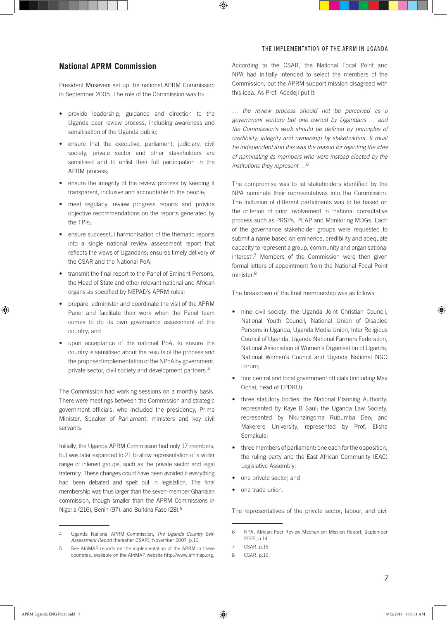## **National APRM Commission**

President Museveni set up the national APRM Commission in September 2005. The role of the Commission was to:

- • provide leadership, guidance and direction to the Uganda peer review process, including awareness and sensitisation of the Uganda public;
- ensure that the executive, parliament, judiciary, civil society, private sector and other stakeholders are sensitised and to enlist their full participation in the APRM process;
- ensure the integrity of the review process by keeping it transparent, inclusive and accountable to the people;
- meet regularly, review progress reports and provide objective recommendations on the reports generated by the TPIs;
- ensure successful harmonisation of the thematic reports into a single national review assessment report that reflects the views of Ugandans; ensures timely delivery of the CSAR and the National PoA;
- transmit the final report to the Panel of Eminent Persons, the Head of State and other relevant national and African organs as specified by NEPAD's APRM rules;
- prepare, administer and coordinate the visit of the APRM Panel and facilitate their work when the Panel team comes to do its own governance assessment of the country; and
- upon acceptance of the national PoA, to ensure the country is sensitised about the results of the process and the proposed implementation of the NPoA by government, private sector, civil society and development partners.<sup>4</sup>

The Commission had working sessions on a monthly basis. There were meetings between the Commission and strategic government officials, who included the presidency, Prime Minister, Speaker of Parliament, ministers and key civil servants.

Initially, the Uganda APRM Commission had only 17 members, but was later expanded to 21 to allow representation of a wider range of interest groups, such as the private sector and legal fraternity. These changes could have been avoided if everything had been debated and spelt out in legislation. The final membership was thus larger than the seven-member Ghanaian commission, though smaller than the APRM Commissions in Nigeria (216), Benin (97), and Burkina Faso (28).<sup>5</sup>

According to the CSAR, the National Focal Point and NPA had initially intended to select the members of the Commission, but the APRM support mission disagreed with this idea. As Prof. Adedeji put it:

*… the review process should not be perceived as a government venture but one owned by Ugandans … and the Commission's work should be defined by principles of credibility, integrity and ownership by stakeholders. It must be independent and this was the reason for rejecting the idea of nominating its members who were instead elected by the institutions they represent …6*

The compromise was to let stakeholders identified by the NPA nominate their representatives into the Commission. The inclusion of different participants was to be based on the criterion of prior involvement in 'national consultative process such as PRSPs, PEAP and Monitoring MDGs. Each of the governance stakeholder groups were requested to submit a name based on eminence, credibility and adequate capacity to represent a group, community and organisational interest'.7 Members of the Commission were then given formal letters of appointment from the National Focal Point minister.<sup>8</sup>

The breakdown of the final membership was as follows:

- nine civil society: the Uganda Joint Christian Council, National Youth Council, National Union of Disabled Persons in Uganda, Uganda Media Union, Inter Religious Council of Uganda, Uganda National Farmers Federation, National Association of Women's Organisation of Uganda, National Women's Council and Uganda National NGO Forum;
- four central and local government officials (including Max Ochai, head of EPDRU);
- three statutory bodies: the National Planning Authority, represented by Kaye B Saul; the Uganda Law Society, represented by Nkunzingoma Rubumba Deo; and Makerere University, represented by Prof. Elisha Semakula;
- • three members of parliament: one each for the opposition, the ruling party and the East African Community (EAC) Legislative Assembly;
- one private sector; and
- one trade union.

The representatives of the private sector, labour, and civil

<sup>4</sup> Uganda National APRM Commission**,** *The Uganda Country Self-Assessment Report* (hereafter CSAR), November 2007, p.16.

<sup>5</sup> See AfriMAP reports on the implementation of the APRM in these countries, available on the AfriMAP website http://www.afrimap.org.

<sup>6</sup> NPA, African Peer Review Mechanism Mission Report, September 2005, p.14.

<sup>7</sup> CSAR, p.16.

<sup>8</sup> CSAR, p.16.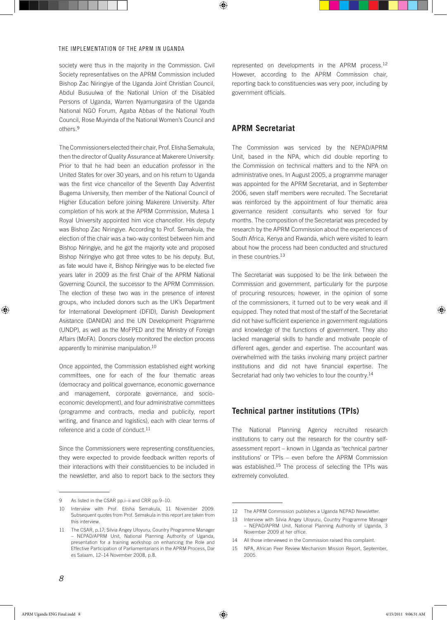society were thus in the majority in the Commission. Civil Society representatives on the APRM Commission included Bishop Zac Niringiye of the Uganda Joint Christian Council, Abdul Busuulwa of the National Union of the Disabled Persons of Uganda, Warren Nyamungasira of the Uganda National NGO Forum, Agaba Abbas of the National Youth Council, Rose Muyinda of the National Women's Council and others.<sup>9</sup>

The Commissioners elected their chair, Prof. Elisha Semakula, then the director of Quality Assurance at Makerere University. Prior to that he had been an education professor in the United States for over 30 years, and on his return to Uganda was the first vice chancellor of the Seventh Day Adventist Bugema University, then member of the National Council of Higher Education before joining Makerere University. After completion of his work at the APRM Commission, Mutesa 1 Royal University appointed him vice chancellor. His deputy was Bishop Zac Niringiye. According to Prof. Semakula, the election of the chair was a two-way contest between him and Bishop Niringiye, and he got the majority vote and proposed Bishop Niringiye who got three votes to be his deputy. But, as fate would have it, Bishop Niringiye was to be elected five years later in 2009 as the first Chair of the APRM National Governing Council, the successor to the APRM Commission. The election of these two was in the presence of interest groups, who included donors such as the UK's Department for International Development (DFID), Danish Development Asistance (DANIDA) and the UN Development Programme (UNDP), as well as the MoFPED and the Ministry of Foreign Affairs (MoFA). Donors closely monitored the election process apparently to minimise manipulation.<sup>10</sup>

Once appointed, the Commission established eight working committees, one for each of the four thematic areas (democracy and political governance, economic governance and management, corporate governance, and socioeconomic development), and four administrative committees (programme and contracts, media and publicity, report writing, and finance and logistics), each with clear terms of reference and a code of conduct.<sup>11</sup>

Since the Commissioners were representing constituencies, they were expected to provide feedback written reports of their interactions with their constituencies to be included in the newsletter, and also to report back to the sectors they represented on developments in the APRM process.<sup>12</sup> However, according to the APRM Commission chair, reporting back to constituencies was very poor, including by government officials.

## **APRM Secretariat**

The Commission was serviced by the NEPAD/APRM Unit, based in the NPA, which did double reporting to the Commission on technical matters and to the NPA on administrative ones. In August 2005, a programme manager was appointed for the APRM Secretariat, and in September 2006, seven staff members were recruited. The Secretariat was reinforced by the appointment of four thematic area governance resident consultants who served for four months. The composition of the Secretariat was preceded by research by the APRM Commission about the experiences of South Africa, Kenya and Rwanda, which were visited to learn about how the process had been conducted and structured in these countries.<sup>13</sup>

The Secretariat was supposed to be the link between the Commission and government, particularly for the purpose of procuring resources; however, in the opinion of some of the commissioners, it turned out to be very weak and ill equipped. They noted that most of the staff of the Secretariat did not have sufficient experience in government regulations and knowledge of the functions of government. They also lacked managerial skills to handle and motivate people of different ages, gender and expertise. The accountant was overwhelmed with the tasks involving many project partner institutions and did not have financial expertise. The Secretariat had only two vehicles to tour the country.<sup>14</sup>

## **Technical partner institutions (TPIs)**

The National Planning Agency recruited research institutions to carry out the research for the country selfassessment report – known in Uganda as 'technical partner institutions' or TPIs – even before the APRM Commission was established.<sup>15</sup> The process of selecting the TPIs was extremely convoluted.

As listed in the CSAR pp.i–ii and CRR pp.9–10.

<sup>10</sup> Interview with Prof. Elisha Semakula, 11 November 2009. Subsequent quotes from Prof. Semakula in this report are taken from this interview.

<sup>11</sup> The CSAR, p.17; Silvia Angey Ufoyuru, Country Programme Manager – NEPAD/APRM Unit, National Planning Authority of Uganda, presentation for a training workshop on enhancing the Role and Effective Participation of Parliamentarians in the APRM Process, Dar es Salaam, 12–14 November 2008, p.8.

<sup>12</sup> The APRM Commission publishes a Uganda NEPAD Newsletter.

<sup>13</sup> Interview with Silvia Angey Ufoyuru, Country Programme Manager – NEPAD/APRM Unit, National Planning Authority of Uganda, 3 November 2009 at her office.

<sup>14</sup> All those interviewed in the Commission raised this complaint.

<sup>15</sup> NPA, African Peer Review Mechanism Mission Report, September, 2005.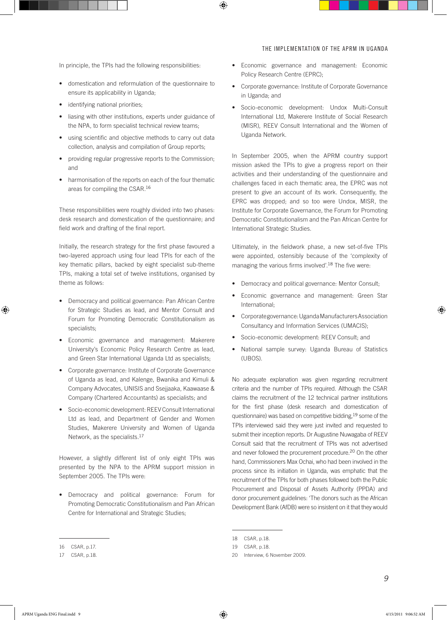In principle, the TPIs had the following responsibilities:

- • domestication and reformulation of the questionnaire to ensure its applicability in Uganda;
- identifying national priorities;
- • liasing with other institutions, experts under guidance of the NPA, to form specialist technical review teams;
- using scientific and objective methods to carry out data collection, analysis and compilation of Group reports;
- providing regular progressive reports to the Commission; and
- harmonisation of the reports on each of the four thematic areas for compiling the CSAR.<sup>16</sup>

These responsibilities were roughly divided into two phases: desk research and domestication of the questionnaire; and field work and drafting of the final report.

Initially, the research strategy for the first phase favoured a two-layered approach using four lead TPIs for each of the key thematic pillars, backed by eight specialist sub-theme TPIs, making a total set of twelve institutions, organised by theme as follows:

- • Democracy and political governance: Pan African Centre for Strategic Studies as lead, and Mentor Consult and Forum for Promoting Democratic Constitutionalism as specialists;
- • Economic governance and management: Makerere University's Economic Policy Research Centre as lead, and Green Star International Uganda Ltd as specialists;
- • Corporate governance: Institute of Corporate Governance of Uganda as lead, and Kalenge, Bwanika and Kimuli & Company Advocates, UNISIS and Ssejjaaka, Kaawaase & Company (Chartered Accountants) as specialists; and
- Socio-economic development: REEV Consult International Ltd as lead, and Department of Gender and Women Studies, Makerere University and Women of Uganda Network, as the specialists.<sup>17</sup>

However, a slightly different list of only eight TPIs was presented by the NPA to the APRM support mission in September 2005. The TPIs were:

• Democracy and political governance: Forum for Promoting Democratic Constitutionalism and Pan African Centre for International and Strategic Studies;

- • Economic governance and management: Economic Policy Research Centre (EPRC);
- • Corporate governance: Institute of Corporate Governance in Uganda; and
- • Socio-economic development: Undox Multi-Consult International Ltd, Makerere Institute of Social Research (MISR), REEV Consult International and the Women of Uganda Network.

In September 2005, when the APRM country support mission asked the TPIs to give a progress report on their activities and their understanding of the questionnaire and challenges faced in each thematic area, the EPRC was not present to give an account of its work. Consequently, the EPRC was dropped; and so too were Undox, MISR, the Institute for Corporate Governance, the Forum for Promoting Democratic Constitutionalism and the Pan African Centre for International Strategic Studies.

Ultimately, in the fieldwork phase, a new set-of-five TPIs were appointed, ostensibly because of the 'complexity of managing the various firms involved'.<sup>18</sup> The five were:

- Democracy and political governance: Mentor Consult;
- Economic governance and management: Green Star International;
- • Corporate governance: Uganda Manufacturers Association Consultancy and Information Services (UMACIS);
- Socio-economic development: REEV Consult; and
- National sample survey: Uganda Bureau of Statistics (UBOS).

No adequate explanation was given regarding recruitment criteria and the number of TPIs required. Although the CSAR claims the recruitment of the 12 technical partner institutions for the first phase (desk research and domestication of questionnaire) was based on competitive bidding,19 some of the TPIs interviewed said they were just invited and requested to submit their inception reports. Dr Augustine Nuwagaba of REEV Consult said that the recruitment of TPIs was not advertised and never followed the procurement procedure.<sup>20</sup> On the other hand, Commissioners Max Ochai, who had been involved in the process since its initiation in Uganda, was emphatic that the recruitment of the TPIs for both phases followed both the Public Procurement and Disposal of Assets Authority (PPDA) and donor procurement guidelines: 'The donors such as the African Development Bank (AfDB) were so insistent on it that they would

<sup>16</sup> CSAR, p.17.

<sup>17</sup> CSAR, p.18.

<sup>18</sup> CSAR, p.18.

<sup>19</sup> CSAR, p.18.

<sup>20</sup> Interview, 6 November 2009.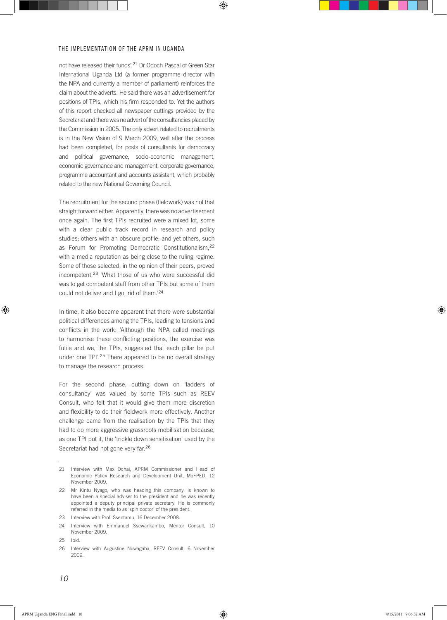not have released their funds'.21 Dr Odoch Pascal of Green Star International Uganda Ltd (a former programme director with the NPA and currently a member of parliament) reinforces the claim about the adverts. He said there was an advertisement for positions of TPIs, which his firm responded to. Yet the authors of this report checked all newspaper cuttings provided by the Secretariat and there was no advert of the consultancies placed by the Commission in 2005. The only advert related to recruitments is in the New Vision of 9 March 2009, well after the process had been completed, for posts of consultants for democracy and political governance, socio-economic management, economic governance and management, corporate governance, programme accountant and accounts assistant, which probably related to the new National Governing Council.

The recruitment for the second phase (fieldwork) was not that straightforward either. Apparently, there was no advertisement once again. The first TPIs recruited were a mixed lot, some with a clear public track record in research and policy studies; others with an obscure profile; and yet others, such as Forum for Promoting Democratic Constitutionalism,<sup>22</sup> with a media reputation as being close to the ruling regime. Some of those selected, in the opinion of their peers, proved incompetent.23 'What those of us who were successful did was to get competent staff from other TPIs but some of them could not deliver and I got rid of them.'<sup>24</sup>

In time, it also became apparent that there were substantial political differences among the TPIs, leading to tensions and conflicts in the work: 'Although the NPA called meetings to harmonise these conflicting positions, the exercise was futile and we, the TPIs, suggested that each pillar be put under one TPI'.25 There appeared to be no overall strategy to manage the research process.

For the second phase, cutting down on 'ladders of consultancy' was valued by some TPIs such as REEV Consult, who felt that it would give them more discretion and flexibility to do their fieldwork more effectively. Another challenge came from the realisation by the TPIs that they had to do more aggressive grassroots mobilisation because, as one TPI put it, the 'trickle down sensitisation' used by the Secretariat had not gone very far.<sup>26</sup>

25 Ibid.

<sup>21</sup> Interview with Max Ochai, APRM Commissioner and Head of Economic Policy Research and Development Unit, MoFPED, 12 November 2009.

<sup>22</sup> Mr Kintu Nyago, who was heading this company, is known to have been a special adviser to the president and he was recently appointed a deputy principal private secretary. He is commonly referred in the media to as 'spin doctor' of the president.

<sup>23</sup> Interview with Prof. Ssentamu, 16 December 2008.

<sup>24</sup> Interview with Emmanuel Ssewankambo, Mentor Consult, 10 November 2009.

<sup>26</sup> Interview with Augustine Nuwagaba, REEV Consult, 6 November 2009.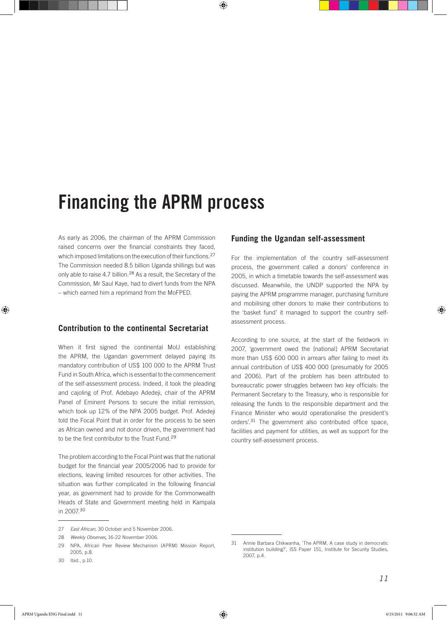## Financing the APRM process

As early as 2006, the chairman of the APRM Commission raised concerns over the financial constraints they faced, which imposed limitations on the execution of their functions.<sup>27</sup> The Commission needed 8.5 billion Uganda shillings but was only able to raise 4.7 billion.<sup>28</sup> As a result, the Secretary of the Commission, Mr Saul Kaye, had to divert funds from the NPA – which earned him a reprimand from the MoFPED.

## **Contribution to the continental Secretariat**

When it first signed the continental MoU establishing the APRM, the Ugandan government delayed paying its mandatory contribution of US\$ 100 000 to the APRM Trust Fund in South Africa, which is essential to the commencement of the self-assessment process. Indeed, it took the pleading and cajoling of Prof. Adebayo Adedeji, chair of the APRM Panel of Eminent Persons to secure the initial remission, which took up 12% of the NPA 2005 budget. Prof. Adedeji told the Focal Point that in order for the process to be seen as African owned and not donor driven, the government had to be the first contributor to the Trust Fund.<sup>29</sup>

The problem according to the Focal Point was that the national budget for the financial year 2005/2006 had to provide for elections, leaving limited resources for other activities. The situation was further complicated in the following financial year, as government had to provide for the Commonwealth Heads of State and Government meeting held in Kampala in 2007.<sup>30</sup>

## **Funding the Ugandan self-assessment**

For the implementation of the country self-assessment process, the government called a donors' conference in 2005, in which a timetable towards the self-assessment was discussed. Meanwhile, the UNDP supported the NPA by paying the APRM programme manager, purchasing furniture and mobilising other donors to make their contributions to the 'basket fund' it managed to support the country selfassessment process.

According to one source, at the start of the fieldwork in 2007, 'government owed the [national] APRM Secretariat more than US\$ 600 000 in arrears after failing to meet its annual contribution of US\$ 400 000 (presumably for 2005 and 2006). Part of the problem has been attributed to bureaucratic power struggles between two key officials: the Permanent Secretary to the Treasury, who is responsible for releasing the funds to the responsible department and the Finance Minister who would operationalise the president's orders'.31 The government also contributed office space, facilities and payment for utilities, as well as support for the country self-assessment process.

<sup>27</sup> *East African,* 30 October and 5 November 2006.

<sup>28</sup> *Weekly Observer***,** 16-22 November 2006.

<sup>29</sup> NPA, African Peer Review Mechanism (APRM) Mission Report, 2005, p.8.

<sup>30</sup> Ibid., p.10.

<sup>31</sup> Annie Barbara Chikwanha, 'The APRM. A case study in democratic institution building?', ISS Paper 151, Institute for Security Studies, 2007, p.4.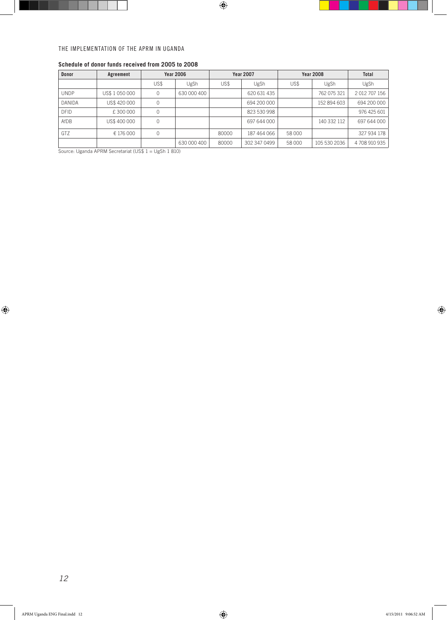| <b>Donor</b>  | Agreement      | <b>Year 2006</b> |             | <b>Year 2007</b> |              | <b>Year 2008</b> |              | Total       |
|---------------|----------------|------------------|-------------|------------------|--------------|------------------|--------------|-------------|
|               |                | US\$             | UgSh        | US\$             | UgSh         | US\$             | UgSh         | UgSh        |
| <b>UNDP</b>   | US\$ 1 050 000 | 0                | 630 000 400 |                  | 620 631 435  |                  | 762 075 321  | 2012707156  |
| <b>DANIDA</b> | US\$ 420 000   | 0                |             |                  | 694 200 000  |                  | 152 894 603  | 694 200 000 |
| <b>DFID</b>   | £300000        | 0                |             |                  | 823 530 998  |                  |              | 976 425 601 |
| AfDB          | US\$400000     | 0                |             |                  | 697 644 000  |                  | 140 332 112  | 697 644 000 |
| <b>GTZ</b>    | € 176 000      | 0                |             | 80000            | 187 464 066  | 58 000           |              | 327 934 178 |
|               |                |                  | 630 000 400 | 80000            | 302 347 0499 | 58 000           | 105 530 2036 | 4708910935  |

## **Schedule of donor funds received from 2005 to 2008**

Source: Uganda APRM Secretariat (US\$ 1 = UgSh 1 810)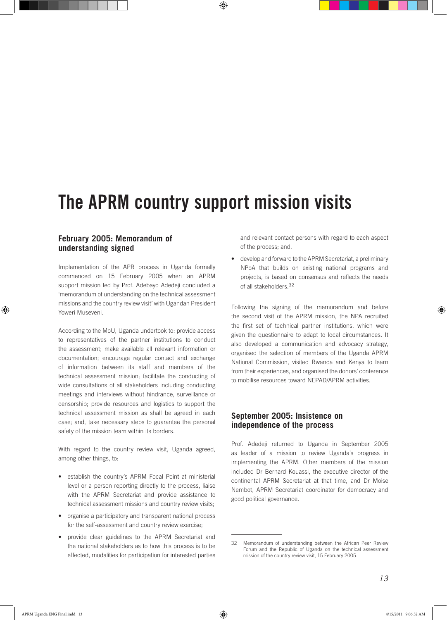## The APRM country support mission visits

## **February 2005: Memorandum of understanding signed**

Implementation of the APR process in Uganda formally commenced on 15 February 2005 when an APRM support mission led by Prof. Adebayo Adedeji concluded a 'memorandum of understanding on the technical assessment missions and the country review visit' with Ugandan President Yoweri Museveni.

According to the MoU, Uganda undertook to: provide access to representatives of the partner institutions to conduct the assessment; make available all relevant information or documentation; encourage regular contact and exchange of information between its staff and members of the technical assessment mission; facilitate the conducting of wide consultations of all stakeholders including conducting meetings and interviews without hindrance, surveillance or censorship; provide resources and logistics to support the technical assessment mission as shall be agreed in each case; and, take necessary steps to guarantee the personal safety of the mission team within its borders.

With regard to the country review visit, Uganda agreed, among other things, to:

- • establish the country's APRM Focal Point at ministerial level or a person reporting directly to the process, liaise with the APRM Secretariat and provide assistance to technical assessment missions and country review visits;
- • organise a participatory and transparent national process for the self-assessment and country review exercise;
- • provide clear guidelines to the APRM Secretariat and the national stakeholders as to how this process is to be effected, modalities for participation for interested parties

and relevant contact persons with regard to each aspect of the process; and,

develop and forward to the APRM Secretariat, a preliminary NPoA that builds on existing national programs and projects, is based on consensus and reflects the needs of all stakeholders.<sup>32</sup>

Following the signing of the memorandum and before the second visit of the APRM mission, the NPA recruited the first set of technical partner institutions, which were given the questionnaire to adapt to local circumstances. It also developed a communication and advocacy strategy, organised the selection of members of the Uganda APRM National Commission, visited Rwanda and Kenya to learn from their experiences, and organised the donors' conference to mobilise resources toward NEPAD/APRM activities.

## **September 2005: Insistence on independence of the process**

Prof. Adedeji returned to Uganda in September 2005 as leader of a mission to review Uganda's progress in implementing the APRM. Other members of the mission included Dr Bernard Kouassi, the executive director of the continental APRM Secretariat at that time, and Dr Moise Nembot, APRM Secretariat coordinator for democracy and good political governance.

<sup>32</sup> Memorandum of understanding between the African Peer Review Forum and the Republic of Uganda on the technical assessment mission of the country review visit, 15 February 2005.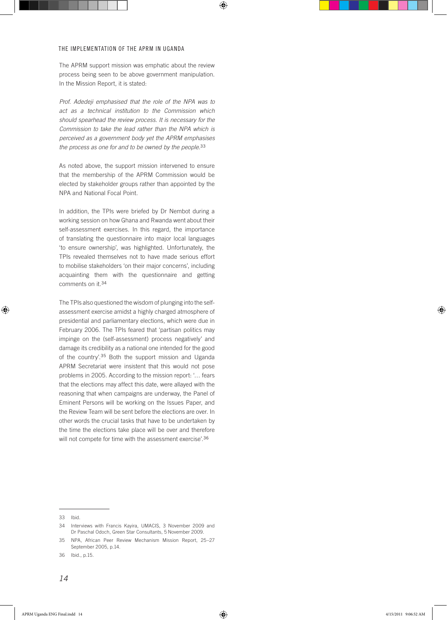The APRM support mission was emphatic about the review process being seen to be above government manipulation. In the Mission Report, it is stated:

*Prof. Adedeji emphasised that the role of the NPA was to act as a technical institution to the Commission which should spearhead the review process. It is necessary for the Commission to take the lead rather than the NPA which is perceived as a government body yet the APRM emphasises the process as one for and to be owned by the people.*<sup>33</sup>

As noted above, the support mission intervened to ensure that the membership of the APRM Commission would be elected by stakeholder groups rather than appointed by the NPA and National Focal Point.

In addition, the TPIs were briefed by Dr Nembot during a working session on how Ghana and Rwanda went about their self-assessment exercises. In this regard, the importance of translating the questionnaire into major local languages 'to ensure ownership', was highlighted. Unfortunately, the TPIs revealed themselves not to have made serious effort to mobilise stakeholders 'on their major concerns', including acquainting them with the questionnaire and getting comments on it.<sup>34</sup>

The TPIs also questioned the wisdom of plunging into the selfassessment exercise amidst a highly charged atmosphere of presidential and parliamentary elections, which were due in February 2006. The TPIs feared that 'partisan politics may impinge on the (self-assessment) process negatively' and damage its credibility as a national one intended for the good of the country'.35 Both the support mission and Uganda APRM Secretariat were insistent that this would not pose problems in 2005. According to the mission report: '… fears that the elections may affect this date, were allayed with the reasoning that when campaigns are underway, the Panel of Eminent Persons will be working on the Issues Paper, and the Review Team will be sent before the elections are over. In other words the crucial tasks that have to be undertaken by the time the elections take place will be over and therefore will not compete for time with the assessment exercise'.<sup>36</sup>

<sup>33</sup> Ibid.

<sup>34</sup> Interviews with Francis Kayira, UMACIS, 3 November 2009 and Dr Paschal Odoch, Green Star Consultants, 5 November 2009.

<sup>35</sup> NPA, African Peer Review Mechanism Mission Report, 25–27 September 2005, p.14.

<sup>36</sup> Ibid., p.15.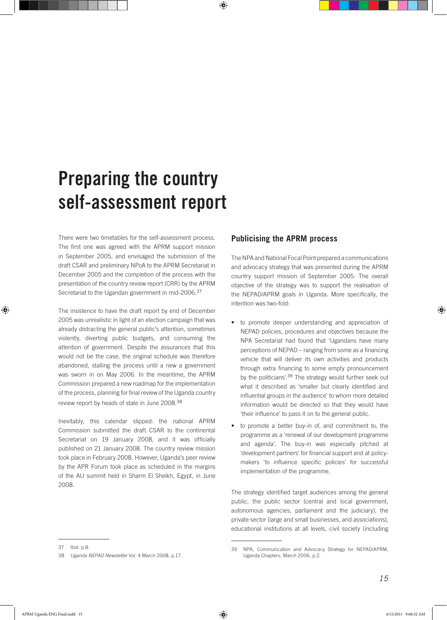# Preparing the country self-assessment report

There were two timetables for the self-assessment process. The first one was agreed with the APRM support mission in September 2005, and envisaged the submission of the draft CSAR and preliminary NPoA to the APRM Secretariat in December 2005 and the completion of the process with the presentation of the country review report (CRR) by the APRM Secretariat to the Ugandan government in mid-2006.<sup>37</sup>

The insistence to have the draft report by end of December 2005 was unrealistic in light of an election campaign that was already distracting the general public's attention, sometimes violently, diverting public budgets, and consuming the attention of government. Despite the assurances that this would not be the case, the original schedule was therefore abandoned, stalling the process until a new a government was sworn in on May 2006. In the meantime, the APRM Commission prepared a new roadmap for the implementation of the process, planning for final review of the Uganda country review report by heads of state in June 2008.<sup>38</sup>

Inevitably, this calendar slipped: the national APRM Commission submitted the draft CSAR to the continental Secretariat on 19 January 2008, and it was officially published on 21 January 2008. The country review mission took place in February 2008. However, Uganda's peer review by the APR Forum took place as scheduled in the margins of the AU summit held in Sharm El Sheikh, Egypt, in June 2008.

## **Publicising the APRM process**

The NPA and National Focal Point prepared a communications and advocacy strategy that was presented during the APRM country support mission of September 2005. The overall objective of the strategy was to support the realisation of the NEPAD/APRM goals in Uganda. More specifically, the intention was two-fold:

- • to promote deeper understanding and appreciation of NEPAD policies, procedures and objectives because the NPA Secretariat had found that 'Ugandans have many perceptions of NEPAD – ranging from some as a financing vehicle that will deliver its own activities and products through extra financing to some empty pronouncement by the politicians'.<sup>39</sup> The strategy would further seek out what it described as 'smaller but clearly identified and influential groups in the audience' to whom more detailed information would be directed so that they would have 'their influence' to pass it on to the general public.
- to promote a better buy-in of, and commitment to, the programme as a 'renewal of our development programme and agenda'. The buy-in was especially pitched at 'development partners' for financial support and at policymakers 'to influence specific policies' for successful implementation of the programme.

The strategy identified target audiences among the general public, the public sector (central and local government, autonomous agencies, parliament and the judiciary), the private sector (large and small businesses, and associations), educational institutions at all levels, civil society (including

<sup>37</sup> Ibid. p.8.

<sup>38</sup> *Uganda NEPAD Newsletter* Vol. 4 March 2008, p.17.

NPA, Communication and Advocacy Strategy for NEPAD/APRM, Uganda Chapters, March 2006, p.2.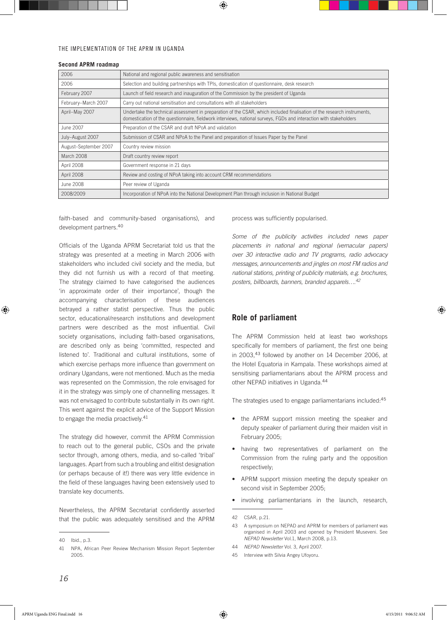| 2006                  | National and regional public awareness and sensitisation                                                                                                                                                                                      |  |  |  |
|-----------------------|-----------------------------------------------------------------------------------------------------------------------------------------------------------------------------------------------------------------------------------------------|--|--|--|
| 2006                  | Selection and building partnerships with TPIs, domestication of questionnaire, desk research                                                                                                                                                  |  |  |  |
| February 2007         | Launch of field research and inauguration of the Commission by the president of Uganda                                                                                                                                                        |  |  |  |
| February-March 2007   | Carry out national sensitisation and consultations with all stakeholders                                                                                                                                                                      |  |  |  |
| April-May 2007        | Undertake the technical assessment in preparation of the CSAR, which included finalisation of the research instruments,<br>domestication of the questionnaire, fieldwork interviews, national surveys, FGDs and interaction with stakeholders |  |  |  |
| June 2007             | Preparation of the CSAR and draft NPoA and validation                                                                                                                                                                                         |  |  |  |
| July-August 2007      | Submission of CSAR and NPoA to the Panel and preparation of Issues Paper by the Panel                                                                                                                                                         |  |  |  |
| August-September 2007 | Country review mission                                                                                                                                                                                                                        |  |  |  |
| March 2008            | Draft country review report                                                                                                                                                                                                                   |  |  |  |
| April 2008            | Government response in 21 days                                                                                                                                                                                                                |  |  |  |
| April 2008            | Review and costing of NPoA taking into account CRM recommendations                                                                                                                                                                            |  |  |  |
| June 2008             | Peer review of Uganda                                                                                                                                                                                                                         |  |  |  |
| 2008/2009             | Incorporation of NPoA into the National Development Plan through inclusion in National Budget                                                                                                                                                 |  |  |  |

#### **Second APRM roadmap**

faith-based and community-based organisations), and development partners.<sup>40</sup>

Officials of the Uganda APRM Secretariat told us that the strategy was presented at a meeting in March 2006 with stakeholders who included civil society and the media, but they did not furnish us with a record of that meeting. The strategy claimed to have categorised the audiences 'in approximate order of their importance', though the accompanying characterisation of these audiences betrayed a rather statist perspective. Thus the public sector, educational/research institutions and development partners were described as the most influential. Civil society organisations, including faith-based organisations, are described only as being 'committed, respected and listened to'. Traditional and cultural institutions, some of which exercise perhaps more influence than government on ordinary Ugandans, were not mentioned. Much as the media was represented on the Commission, the role envisaged for it in the strategy was simply one of channelling messages. It was not envisaged to contribute substantially in its own right. This went against the explicit advice of the Support Mission to engage the media proactively.<sup>41</sup>

The strategy did however, commit the APRM Commission to reach out to the general public, CSOs and the private sector through, among others, media, and so-called 'tribal' languages. Apart from such a troubling and elitist designation (or perhaps because of it!) there was very little evidence in the field of these languages having been extensively used to translate key documents.

Nevertheless, the APRM Secretariat confidently asserted that the public was adequately sensitised and the APRM process was sufficiently popularised.

*Some of the publicity activities included news paper placements in national and regional (vernacular papers) over 30 interactive radio and TV programs, radio advocacy messages, announcements and jingles on most FM radios and national stations, printing of publicity materials, e.g. brochures, posters, billboards, banners, branded apparels….42*

## **Role of parliament**

The APRM Commission held at least two workshops specifically for members of parliament, the first one being in 2003,43 followed by another on 14 December 2006, at the Hotel Equatoria in Kampala. These workshops aimed at sensitising parliamentarians about the APRM process and other NEPAD initiatives in Uganda.<sup>44</sup>

The strategies used to engage parliamentarians included:<sup>45</sup>

- the APRM support mission meeting the speaker and deputy speaker of parliament during their maiden visit in February 2005;
- having two representatives of parliament on the Commission from the ruling party and the opposition respectively;
- APRM support mission meeting the deputy speaker on second visit in September 2005;
- involving parliamentarians in the launch, research,

<sup>40</sup> Ibid., p.3.

<sup>41</sup> NPA, African Peer Review Mechanism Mission Report September 2005.

<sup>42</sup> CSAR, p.21.

<sup>43</sup> A symposium on NEPAD and APRM for members of parliament was organised in April 2003 and opened by President Museveni. See *NEPAD Newsletter* Vol.1, March 2008, p.13.

<sup>44</sup> *NEPAD Newsletter* Vol. 3, April 2007.

<sup>45</sup> Interview with Silvia Angey Ufoyoru.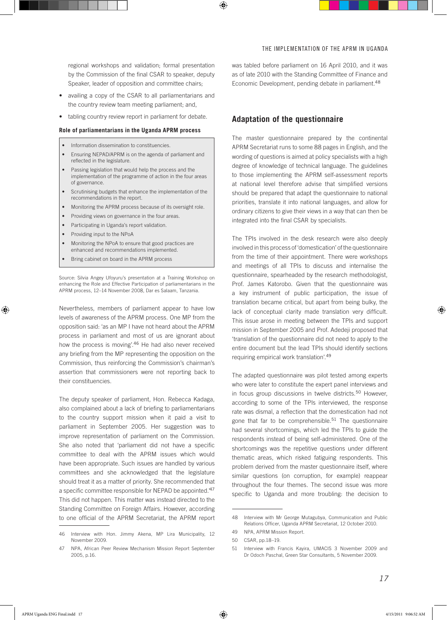regional workshops and validation; formal presentation by the Commission of the final CSAR to speaker, deputy Speaker, leader of opposition and committee chairs;

- availing a copy of the CSAR to all parliamentarians and the country review team meeting parliament; and,
- tabling country review report in parliament for debate.

#### **Role of parliamentarians in the Uganda APRM process**

- Information dissemination to constituencies.
- Ensuring NEPAD/APRM is on the agenda of parliament and reflected in the legislature.
- Passing legislation that would help the process and the implementation of the programme of action in the four areas of governance.
- Scrutinising budgets that enhance the implementation of the recommendations in the report.
- Monitoring the APRM process because of its oversight role.
- Providing views on governance in the four areas.
- Participating in Uganda's report validation.
- Providing input to the NPoA
- Monitoring the NPoA to ensure that good practices are enhanced and recommendations implemented.
- Bring cabinet on board in the APRM process

Source: Silvia Angey Ufoyuru's presentation at a Training Workshop on enhancing the Role and Effective Participation of parliamentarians in the APRM process, 12–14 November 2008, Dar es Salaam, Tanzania.

Nevertheless, members of parliament appear to have low levels of awareness of the APRM process. One MP from the opposition said: 'as an MP I have not heard about the APRM process in parliament and most of us are ignorant about how the process is moving'.46 He had also never received any briefing from the MP representing the opposition on the Commission, thus reinforcing the Commission's chairman's assertion that commissioners were not reporting back to their constituencies.

The deputy speaker of parliament, Hon. Rebecca Kadaga, also complained about a lack of briefing to parliamentarians to the country support mission when it paid a visit to parliament in September 2005. Her suggestion was to improve representation of parliament on the Commission. She also noted that 'parliament did not have a specific committee to deal with the APRM issues which would have been appropriate. Such issues are handled by various committees and she acknowledged that the legislature should treat it as a matter of priority. She recommended that a specific committee responsible for NEPAD be appointed.'<sup>47</sup> This did not happen. This matter was instead directed to the Standing Committee on Foreign Affairs. However, according to one official of the APRM Secretariat, the APRM report was tabled before parliament on 16 April 2010, and it was as of late 2010 with the Standing Committee of Finance and Economic Development, pending debate in parliament.<sup>48</sup>

### **Adaptation of the questionnaire**

The master questionnaire prepared by the continental APRM Secretariat runs to some 88 pages in English, and the wording of questions is aimed at policy specialists with a high degree of knowledge of technical language. The guidelines to those implementing the APRM self-assessment reports at national level therefore advise that simplified versions should be prepared that adapt the questionnaire to national priorities, translate it into national languages, and allow for ordinary citizens to give their views in a way that can then be integrated into the final CSAR by specialists.

The TPIs involved in the desk research were also deeply involved in this process of 'domestication' of the questionnaire from the time of their appointment. There were workshops and meetings of all TPIs to discuss and internalise the questionnaire, spearheaded by the research methodologist, Prof. James Katorobo. Given that the questionnaire was a key instrument of public participation, the issue of translation became critical, but apart from being bulky, the lack of conceptual clarity made translation very difficult. This issue arose in meeting between the TPIs and support mission in September 2005 and Prof. Adedeji proposed that 'translation of the questionnaire did not need to apply to the entire document but the lead TPIs should identify sections requiring empirical work translation'.<sup>49</sup>

The adapted questionnaire was pilot tested among experts who were later to constitute the expert panel interviews and in focus group discussions in twelve districts.<sup>50</sup> However, according to some of the TPIs interviewed, the response rate was dismal, a reflection that the domestication had not gone that far to be comprehensible.<sup>51</sup> The questionnaire had several shortcomings, which led the TPIs to guide the respondents instead of being self-administered. One of the shortcomings was the repetitive questions under different thematic areas, which risked fatiguing respondents. This problem derived from the master questionnaire itself, where similar questions (on corruption, for example) reappear throughout the four themes. The second issue was more specific to Uganda and more troubling: the decision to

<sup>46</sup> Interview with Hon. Jimmy Akena, MP Lira Municipality, 12 November 2009.

<sup>47</sup> NPA, African Peer Review Mechanism Mission Report September 2005, p.16.

<sup>48</sup> Interview with Mr George Mutagubya, Communication and Public Relations Officer, Uganda APRM Secretariat, 12 October 2010.

<sup>49</sup> NPA, APRM Mission Report.

<sup>50</sup> CSAR, pp.18–19.

<sup>51</sup> Interview with Francis Kayira, UMACIS 3 November 2009 and Dr Odoch Paschal, Green Star Consultants, 5 November 2009.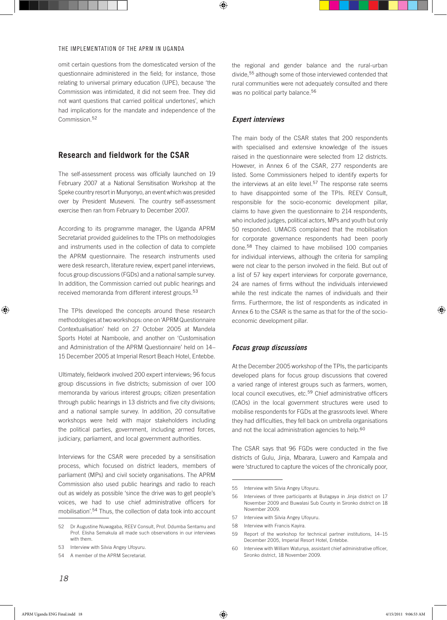omit certain questions from the domesticated version of the questionnaire administered in the field; for instance, those relating to universal primary education (UPE), because 'the Commission was intimidated, it did not seem free. They did not want questions that carried political undertones', which had implications for the mandate and independence of the Commission.<sup>52</sup>

### **Research and fieldwork for the CSAR**

The self-assessment process was officially launched on 19 February 2007 at a National Sensitisation Workshop at the Speke country resort in Munyonyo, an event which was presided over by President Museveni. The country self-assessment exercise then ran from February to December 2007.

According to its programme manager, the Uganda APRM Secretariat provided guidelines to the TPIs on methodologies and instruments used in the collection of data to complete the APRM questionnaire. The research instruments used were desk research, literature review, expert panel interviews, focus group discussions (FGDs) and a national sample survey. In addition, the Commission carried out public hearings and received memoranda from different interest groups.<sup>53</sup>

The TPIs developed the concepts around these research methodologies at two workshops: one on 'APRM Questionnaire Contextualisation' held on 27 October 2005 at Mandela Sports Hotel at Namboole, and another on 'Customisation and Administration of the APRM Questionnaire' held on 14– 15 December 2005 at Imperial Resort Beach Hotel, Entebbe.

Ultimately, fieldwork involved 200 expert interviews; 96 focus group discussions in five districts; submission of over 100 memoranda by various interest groups; citizen presentation through public hearings in 13 districts and five city divisions; and a national sample survey. In addition, 20 consultative workshops were held with major stakeholders including the political parties, government, including armed forces, judiciary, parliament, and local government authorities.

Interviews for the CSAR were preceded by a sensitisation process, which focused on district leaders, members of parliament (MPs) and civil society organisations. The APRM Commission also used public hearings and radio to reach out as widely as possible 'since the drive was to get people's voices, we had to use chief administrative officers for mobilisation'.<sup>54</sup> Thus, the collection of data took into account the regional and gender balance and the rural-urban divide,<sup>55</sup> although some of those interviewed contended that rural communities were not adequately consulted and there was no political party balance.<sup>56</sup>

#### *Expert interviews*

The main body of the CSAR states that 200 respondents with specialised and extensive knowledge of the issues raised in the questionnaire were selected from 12 districts. However, in Annex 6 of the CSAR, 277 respondents are listed. Some Commissioners helped to identify experts for the interviews at an elite level.<sup>57</sup> The response rate seems to have disappointed some of the TPIs. REEV Consult, responsible for the socio-economic development pillar, claims to have given the questionnaire to 214 respondents, who included judges, political actors, MPs and youth but only 50 responded. UMACIS complained that the mobilisation for corporate governance respondents had been poorly done.58 They claimed to have mobilised 100 companies for individual interviews, although the criteria for sampling were not clear to the person involved in the field. But out of a list of 57 key expert interviews for corporate governance, 24 are names of firms without the individuals interviewed while the rest indicate the names of individuals and their firms. Furthermore, the list of respondents as indicated in Annex 6 to the CSAR is the same as that for the of the socioeconomic development pillar.

#### *Focus group discussions*

At the December 2005 workshop of the TPIs, the participants developed plans for focus group discussions that covered a varied range of interest groups such as farmers, women, local council executives, etc.<sup>59</sup> Chief administrative officers (CAOs) in the local government structures were used to mobilise respondents for FGDs at the grassroots level. Where they had difficulties, they fell back on umbrella organisations and not the local administration agencies to help.<sup>60</sup>

The CSAR says that 96 FGDs were conducted in the five districts of Gulu, Jinja, Mbarara, Luwero and Kampala and were 'structured to capture the voices of the chronically poor,

<sup>52</sup> Dr Augustine Nuwagaba, REEV Consult, Prof. Ddumba Sentamu and Prof. Elisha Semakula all made such observations in our interviews with them.

<sup>53</sup> Interview with Silvia Angey Ufoyuru.

<sup>54</sup> A member of the APRM Secretariat.

<sup>55</sup> Interview with Silvia Angey Ufoyuru.

<sup>56</sup> Interviews of three participants at Butagaya in Jinja district on 17 November 2009 and Buwalasi Sub County in Sironko district on 18 November 2009.

<sup>57</sup> Interview with Silvia Angey Ufoyuru.

<sup>58</sup> Interview with Francis Kayira.

<sup>59</sup> Report of the workshop for technical partner institutions, 14–15 December 2005, Imperial Resort Hotel, Entebbe.

<sup>60</sup> Interview with William Watunya, assistant chief administrative officer, Sironko district, 18 November 2009.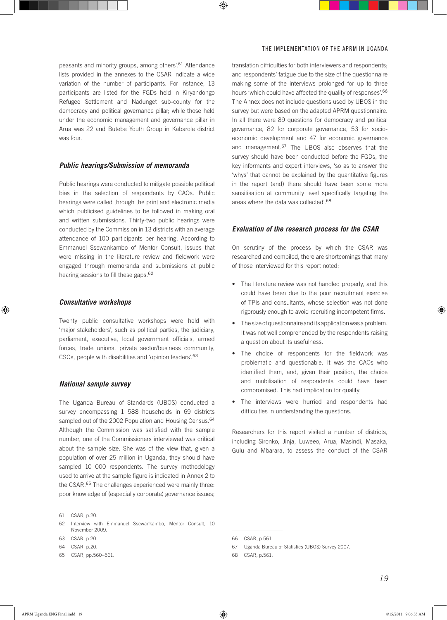peasants and minority groups, among others'.61 Attendance lists provided in the annexes to the CSAR indicate a wide variation of the number of participants. For instance, 13 participants are listed for the FGDs held in Kiryandongo Refugee Settlement and Nadunget sub-county for the democracy and political governance pillar; while those held under the economic management and governance pillar in Arua was 22 and Butebe Youth Group in Kabarole district was four.

#### *Public hearings/Submission of memoranda*

Public hearings were conducted to mitigate possible political bias in the selection of respondents by CAOs. Public hearings were called through the print and electronic media which publicised guidelines to be followed in making oral and written submissions. Thirty-two public hearings were conducted by the Commission in 13 districts with an average attendance of 100 participants per hearing. According to Emmanuel Ssewankambo of Mentor Consult, issues that were missing in the literature review and fieldwork were engaged through memoranda and submissions at public hearing sessions to fill these gaps.<sup>62</sup>

#### *Consultative workshops*

Twenty public consultative workshops were held with 'major stakeholders', such as political parties, the judiciary, parliament, executive, local government officials, armed forces, trade unions, private sector/business community, CSOs, people with disabilities and 'opinion leaders'.<sup>63</sup>

#### *National sample survey*

The Uganda Bureau of Standards (UBOS) conducted a survey encompassing 1 588 households in 69 districts sampled out of the 2002 Population and Housing Census.<sup>64</sup> Although the Commission was satisfied with the sample number, one of the Commissioners interviewed was critical about the sample size. She was of the view that, given a population of over 25 million in Uganda, they should have sampled 10 000 respondents. The survey methodology used to arrive at the sample figure is indicated in Annex 2 to the CSAR.<sup>65</sup> The challenges experienced were mainly three: poor knowledge of (especially corporate) governance issues;

65 CSAR, pp.560–561.

translation difficulties for both interviewers and respondents; and respondents' fatigue due to the size of the questionnaire making some of the interviews prolonged for up to three hours 'which could have affected the quality of responses'.<sup>66</sup> The Annex does not include questions used by UBOS in the survey but were based on the adapted APRM questionnaire. In all there were 89 questions for democracy and political governance, 82 for corporate governance, 53 for socioeconomic development and 47 for economic governance and management.<sup>67</sup> The UBOS also observes that the survey should have been conducted before the FGDs, the key informants and expert interviews, 'so as to answer the 'whys' that cannot be explained by the quantitative figures in the report (and) there should have been some more sensitisation at community level specifically targeting the areas where the data was collected'.<sup>68</sup>

#### *Evaluation of the research process for the CSAR*

On scrutiny of the process by which the CSAR was researched and compiled, there are shortcomings that many of those interviewed for this report noted:

- The literature review was not handled properly, and this could have been due to the poor recruitment exercise of TPIs and consultants, whose selection was not done rigorously enough to avoid recruiting incompetent firms.
- The size of questionnaire and its application was a problem. It was not well comprehended by the respondents raising a question about its usefulness.
- The choice of respondents for the fieldwork was problematic and questionable. It was the CAOs who identified them, and, given their position, the choice and mobilisation of respondents could have been compromised. This had implication for quality.
- The interviews were hurried and respondents had difficulties in understanding the questions.

Researchers for this report visited a number of districts, including Sironko, Jinja, Luweeo, Arua, Masindi, Masaka, Gulu and Mbarara, to assess the conduct of the CSAR

<sup>61</sup> CSAR, p.20.

<sup>62</sup> Interview with Emmanuel Ssewankambo, Mentor Consult, 10 November 2009.

<sup>63</sup> CSAR, p.20.

<sup>64</sup> CSAR, p.20.

<sup>66</sup> CSAR, p.561.

<sup>67</sup> Uganda Bureau of Statistics (UBOS) Survey 2007.

<sup>68</sup> CSAR, p.561.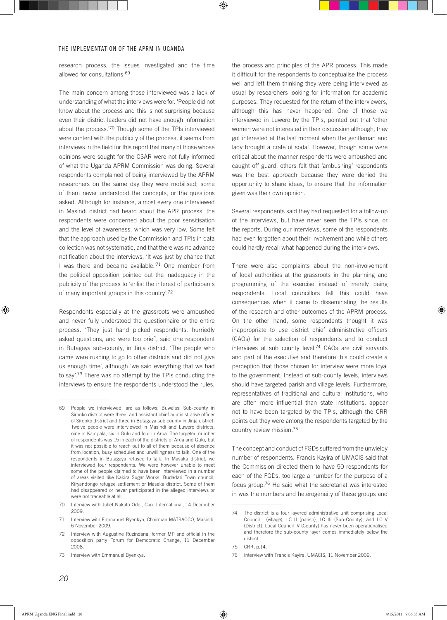research process, the issues investigated and the time allowed for consultations.<sup>69</sup>

The main concern among those interviewed was a lack of understanding of what the interviews were for. 'People did not know about the process and this is not surprising because even their district leaders did not have enough information about the process.'70 Though some of the TPIs interviewed were content with the publicity of the process, it seems from interviews in the field for this report that many of those whose opinions were sought for the CSAR were not fully informed of what the Uganda APRM Commission was doing. Several respondents complained of being interviewed by the APRM researchers on the same day they were mobilised; some of them never understood the concepts, or the questions asked. Although for instance, almost every one interviewed in Masindi district had heard about the APR process, the respondents were concerned about the poor sensitisation and the level of awareness, which was very low. Some felt that the approach used by the Commission and TPIs in data collection was not systematic, and that there was no advance notification about the interviews. 'It was just by chance that I was there and became available.'71 One member from the political opposition pointed out the inadequacy in the publicity of the process to 'enlist the interest of participants of many important groups in this country'.<sup>72</sup>

Respondents especially at the grassroots were ambushed and never fully understood the questionnaire or the entire process. 'They just hand picked respondents, hurriedly asked questions, and were too brief', said one respondent in Butagaya sub-county, in Jinja district. 'The people who came were rushing to go to other districts and did not give us enough time', although 'we said everything that we had to say'.73 There was no attempt by the TPIs conducting the interviews to ensure the respondents understood the rules,

the process and principles of the APR process. This made it difficult for the respondents to conceptualise the process well and left them thinking they were being interviewed as usual by researchers looking for information for academic purposes. They requested for the return of the interviewers, although this has never happened. One of those we interviewed in Luwero by the TPIs, pointed out that 'other women were not interested in their discussion although, they got interested at the last moment when the gentleman and lady brought a crate of soda'. However, though some were critical about the manner respondents were ambushed and caught off guard, others felt that 'ambushing' respondents was the best approach because they were denied the opportunity to share ideas, to ensure that the information given was their own opinion.

Several respondents said they had requested for a follow-up of the interviews, but have never seen the TPIs since, or the reports. During our interviews, some of the respondents had even forgotten about their involvement and while others could hardly recall what happened during the interviews.

There were also complaints about the non-involvement of local authorities at the grassroots in the planning and programming of the exercise instead of merely being respondents. Local councillors felt this could have consequences when it came to disseminating the results of the research and other outcomes of the APRM process. On the other hand, some respondents thought it was inappropriate to use district chief administrative officers (CAOs) for the selection of respondents and to conduct interviews at sub county level.<sup>74</sup> CAOs are civil servants and part of the executive and therefore this could create a perception that those chosen for interview were more loyal to the government. Instead of sub-county levels, interviews should have targeted parish and village levels. Furthermore, representatives of traditional and cultural institutions, who are often more influential than state institutions, appear not to have been targeted by the TPIs, although the CRR points out they were among the respondents targeted by the country review mission.<sup>75</sup>

The concept and conduct of FGDs suffered from the unwieldy number of respondents. Francis Kayira of UMACIS said that the Commission directed them to have 50 respondents for each of the FGDs, too large a number for the purpose of a focus group.<sup>76</sup> He said what the secretariat was interested in was the numbers and heterogeneity of these groups and

<sup>69</sup> People we interviewed, are as follows: Buwalasi Sub-county in Sironko district were three, and assistant chief administrative officer of Sironko district and three in Butagaya sub county in Jinja district. Twelve people were interviewed in Masindi and Luwero districts, nine in Kampala, six in Gulu and four in Arua. The targeted number of respondents was 15 in each of the districts of Arua and Gulu, but it was not possible to reach out to all of them because of absence from location, busy schedules and unwillingness to talk. One of the respondents in Butagaya refused to talk. In Masaka district, we interviewed four respondents. We were however unable to meet some of the people claimed to have been interviewed in a number of areas visited like Kakira Sugar Works, Budadari Town council, Kiryandongo refugee settlement or Masaka district. Some of them had disappeared or never participated in the alleged interviews or were not traceable at all.

<sup>70</sup> Interview with Juliet Nakato Odoi, Care International, 14 December 2009.

<sup>71</sup> Interview with Emmanuel Byenkya, Chairman MATSACCO, Masindi, 6 November 2009.

<sup>72</sup> Interview with Augustine Ruzindana, former MP and official in the opposition party Forum for Democratic Change, 11 December 2008.

<sup>73</sup> Interview with Emmanuel Byenkya.

<sup>74</sup> The district is a four layered administrative unit comprising Local Council I (village), LC II (parish), LC III (Sub-County), and LC V (District). Local Council IV (County) has never been operationalised and therefore the sub-county layer comes immediately below the district.

<sup>75</sup> CRR, p.14.

<sup>76</sup> Interview with Francis Kayira, UMACIS, 11 November 2009.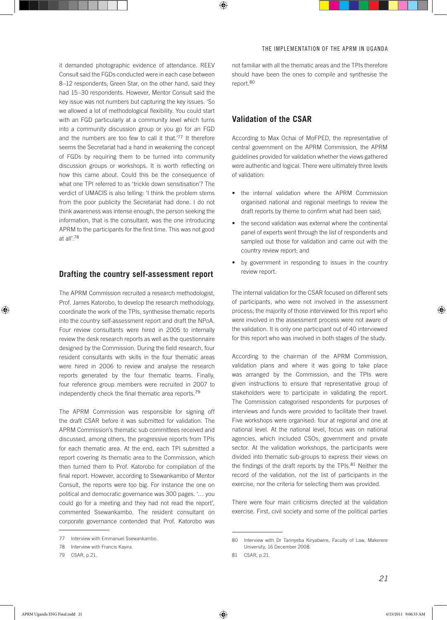it demanded photographic evidence of attendance. REEV Consult said the FGDs conducted were in each case between 8–12 respondents; Green Star, on the other hand, said they had 15–30 respondents. However, Mentor Consult said the key issue was not numbers but capturing the key issues. 'So we allowed a lot of methodological flexibility. You could start with an FGD particularly at a community level which turns into a community discussion group or you go for an FGD and the numbers are too few to call it that.<sup>'77</sup> It therefore seems the Secretariat had a hand in weakening the concept of FGDs by requiring them to be turned into community discussion groups or workshops. It is worth reflecting on how this came about. Could this be the consequence of what one TPI referred to as 'trickle down sensitisation'? The verdict of UMACIS is also telling: 'I think the problem stems from the poor publicity the Secretariat had done. I do not think awareness was intense enough, the person seeking the information, that is the consultant, was the one introducing APRM to the participants for the first time. This was not good at all'.<sup>78</sup>

## **Drafting the country self-assessment report**

The APRM Commission recruited a research methodologist, Prof. James Katorobo, to develop the research methodology, coordinate the work of the TPIs, synthesise thematic reports into the country self-assessment report and draft the NPoA. Four review consultants were hired in 2005 to internally review the desk research reports as well as the questionnaire designed by the Commission. During the field research, four resident consultants with skills in the four thematic areas were hired in 2006 to review and analyse the research reports generated by the four thematic teams. Finally, four reference group members were recruited in 2007 to independently check the final thematic area reports.<sup>79</sup>

The APRM Commission was responsible for signing off the draft CSAR before it was submitted for validation. The APRM Commission's thematic sub committees received and discussed, among others, the progressive reports from TPIs for each thematic area. At the end, each TPI submitted a report covering its thematic area to the Commission, which then turned them to Prof. Katorobo for compilation of the final report. However, according to Ssewankambo of Mentor Consult, the reports were too big. For instance the one on political and democratic governance was 300 pages. '… you could go for a meeting and they had not read the report', commented Ssewankambo. The resident consultant on corporate governance contended that Prof. Katorobo was

not familiar with all the thematic areas and the TPIs therefore should have been the ones to compile and synthesise the report.<sup>80</sup>

## **Validation of the CSAR**

According to Max Ochai of MoFPED, the representative of central government on the APRM Commission, the APRM guidelines provided for validation whether the views gathered were authentic and logical. There were ultimately three levels of validation:

- the internal validation where the APRM Commission organised national and regional meetings to review the draft reports by theme to confirm what had been said;
- the second validation was external where the continental panel of experts went through the list of respondents and sampled out those for validation and came out with the country review report; and
- • by government in responding to issues in the country review report.

The internal validation for the CSAR focused on different sets of participants, who were not involved in the assessment process; the majority of those interviewed for this report who were involved in the assessment process were not aware of the validation. It is only one participant out of 40 interviewed for this report who was involved in both stages of the study.

According to the chairman of the APRM Commission, validation plans and where it was going to take place was arranged by the Commission, and the TPIs were given instructions to ensure that representative group of stakeholders were to participate in validating the report. The Commission categorised respondents for purposes of interviews and funds were provided to facilitate their travel. Five workshops were organised: four at regional and one at national level. At the national level, focus was on national agencies, which included CSOs, government and private sector. At the validation workshops, the participants were divided into thematic sub-groups to express their views on the findings of the draft reports by the TPIs.<sup>81</sup> Neither the record of the validation, not the list of participants in the exercise, nor the criteria for selecting them was provided.

There were four main criticisms directed at the validation exercise. First, civil society and some of the political parties

<sup>77</sup> Interview with Emmanuel Ssewankambo.

<sup>78</sup> Interview with Francis Kayira.

<sup>79</sup> CSAR, p.21.

<sup>80</sup> Interview with Dr Tarinyeba Kiryabwire, Faculty of Law, Makerere University, 16 December 2008.

<sup>81</sup> CSAR, p.21.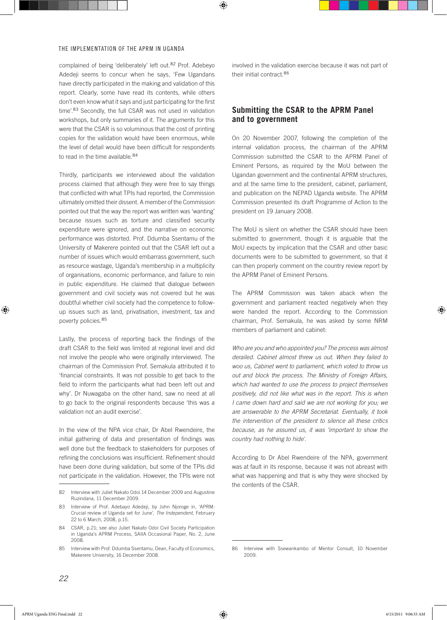complained of being 'deliberately' left out.82 Prof. Adebeyo Adedeji seems to concur when he says, 'Few Ugandans have directly participated in the making and validation of this report. Clearly, some have read its contents, while others don't even know what it says and just participating for the first time'.<sup>83</sup> Secondly, the full CSAR was not used in validation workshops, but only summaries of it. The arguments for this were that the CSAR is so voluminous that the cost of printing copies for the validation would have been enormous, while the level of detail would have been difficult for respondents to read in the time available.<sup>84</sup>

Thirdly, participants we interviewed about the validation process claimed that although they were free to say things that conflicted with what TPIs had reported, the Commission ultimately omitted their dissent. A member of the Commission pointed out that the way the report was written was 'wanting' because issues such as torture and classified security expenditure were ignored, and the narrative on economic performance was distorted. Prof. Ddumba Ssentamu of the University of Makerere pointed out that the CSAR left out a number of issues which would embarrass government, such as resource wastage, Uganda's membership in a multiplicity of organisations, economic performance, and failure to rein in public expenditure. He claimed that dialogue between government and civil society was not covered but he was doubtful whether civil society had the competence to followup issues such as land, privatisation, investment, tax and poverty policies.<sup>85</sup>

Lastly, the process of reporting back the findings of the draft CSAR to the field was limited at regional level and did not involve the people who were originally interviewed. The chairman of the Commission Prof. Semakula attributed it to 'financial constraints. It was not possible to get back to the field to inform the participants what had been left out and why'. Dr Nuwagaba on the other hand, saw no need at all to go back to the original respondents because 'this was a validation not an audit exercise'.

In the view of the NPA vice chair, Dr Abel Rwendeire, the initial gathering of data and presentation of findings was well done but the feedback to stakeholders for purposes of refining the conclusions was insufficient. Refinement should have been done during validation, but some of the TPIs did not participate in the validation. However, the TPIs were not involved in the validation exercise because it was not part of their initial contract.<sup>86</sup>

## **Submitting the CSAR to the APRM Panel and to government**

On 20 November 2007, following the completion of the internal validation process, the chairman of the APRM Commission submitted the CSAR to the APRM Panel of Eminent Persons, as required by the MoU between the Ugandan government and the continental APRM structures, and at the same time to the president, cabinet, parliament, and publication on the NEPAD Uganda website. The APRM Commission presented its draft Programme of Action to the president on 19 January 2008.

The MoU is silent on whether the CSAR should have been submitted to government, though it is arguable that the MoU expects by implication that the CSAR and other basic documents were to be submitted to government, so that it can then properly comment on the country review report by the APRM Panel of Eminent Persons.

The APRM Commission was taken aback when the government and parliament reacted negatively when they were handed the report. According to the Commission chairman, Prof. Semakula, he was asked by some NRM members of parliament and cabinet:

*Who are you and who appointed you? The process was almost derailed. Cabinet almost threw us out. When they failed to woo us, Cabinet went to parliament, which voted to throw us out and block the process. The Ministry of Foreign Affairs, which had wanted to use the process to project themselves positively, did not like what was in the report. This is when I came down hard and said we are not working for you; we are answerable to the APRM Secretariat. Eventually, it took the intervention of the president to silence all these critics because, as he assured us, it was 'important to show the country had nothing to hide'.*

According to Dr Abel Rwendeire of the NPA, government was at fault in its response, because it was not abreast with what was happening and that is why they were shocked by the contents of the CSAR.

<sup>82</sup> Interview with Juliet Nakato Odoi 14 December 2009 and Augustine Ruzindana, 11 December 2009.

<sup>83</sup> Interview of Prof. Adebayo Adedeji, by John Njoroge in, 'APRM: Crucial review of Uganda set for June', *The Independent*, February 22 to 6 March, 2008, p.15.

<sup>84</sup> CSAR, p.21; see also Juliet Nakato Odoi Civil Society Participation in Uganda's APRM Process, SAIIA Occasional Paper, No. 2, June 2008.

<sup>85</sup> Interview with Prof. Ddumba Ssentamu, Dean, Faculty of Economics, Makerere University, 16 December 2008.

<sup>86</sup> Interview with Ssewankambo of Mentor Consult, 10 November 2009.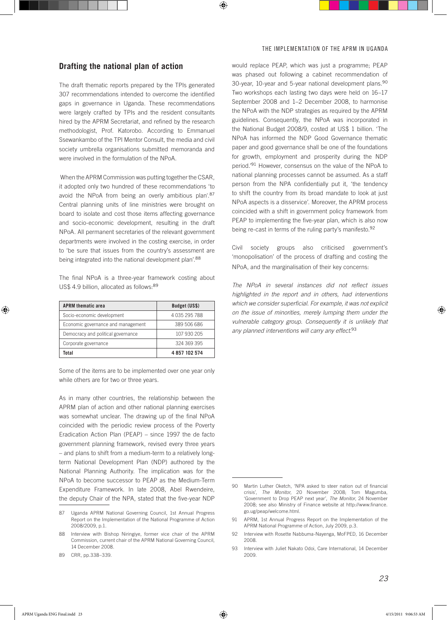## **Drafting the national plan of action**

The draft thematic reports prepared by the TPIs generated 307 recommendations intended to overcome the identified gaps in governance in Uganda. These recommendations were largely crafted by TPIs and the resident consultants hired by the APRM Secretariat, and refined by the research methodologist, Prof. Katorobo. According to Emmanuel Ssewankambo of the TPI Mentor Consult, the media and civil society umbrella organisations submitted memoranda and were involved in the formulation of the NPoA.

When the APRM Commission was putting together the CSAR, it adopted only two hundred of these recommendations 'to avoid the NPoA from being an overly ambitious plan'.<sup>87</sup> Central planning units of line ministries were brought on board to isolate and cost those items affecting governance and socio-economic development, resulting in the draft NPoA. All permanent secretaries of the relevant government departments were involved in the costing exercise, in order to 'be sure that issues from the country's assessment are being integrated into the national development plan'.<sup>88</sup>

The final NPoA is a three-year framework costing about US\$ 4.9 billion, allocated as follows: 89

| <b>APRM thematic area</b>          | Budget (US\$) |  |  |
|------------------------------------|---------------|--|--|
| Socio-economic development         | 4 035 295 788 |  |  |
| Economic governance and management | 389 506 686   |  |  |
| Democracy and political governance | 107 930 205   |  |  |
| Corporate governance               | 324 369 395   |  |  |
| Total                              | 4857102574    |  |  |

Some of the items are to be implemented over one year only while others are for two or three years.

As in many other countries, the relationship between the APRM plan of action and other national planning exercises was somewhat unclear. The drawing up of the final NPoA coincided with the periodic review process of the Poverty Eradication Action Plan (PEAP) – since 1997 the de facto government planning framework, revised every three years – and plans to shift from a medium-term to a relatively longterm National Development Plan (NDP) authored by the National Planning Authority. The implication was for the NPoA to become successor to PEAP as the Medium-Term Expenditure Framework. In late 2008, Abel Rwendeire, the deputy Chair of the NPA, stated that the five-year NDP

89 CRR, pp.338–339.

would replace PEAP, which was just a programme; PEAP was phased out following a cabinet recommendation of 30-year, 10-year and 5-year national development plans.<sup>90</sup> Two workshops each lasting two days were held on 16–17 September 2008 and 1–2 December 2008, to harmonise the NPoA with the NDP strategies as required by the APRM guidelines. Consequently, the NPoA was incorporated in the National Budget 2008/9, costed at US\$ 1 billion. 'The NPoA has informed the NDP Good Governance thematic paper and good governance shall be one of the foundations for growth, employment and prosperity during the NDP period.'91 However, consensus on the value of the NPoA to national planning processes cannot be assumed. As a staff person from the NPA confidentially put it, 'the tendency to shift the country from its broad mandate to look at just NPoA aspects is a disservice'. Moreover, the APRM process coincided with a shift in government policy framework from PEAP to implementing the five-year plan, which is also now being re-cast in terms of the ruling party's manifesto.<sup>92</sup>

Civil society groups also criticised government's 'monopolisation' of the process of drafting and costing the NPoA, and the marginalisation of their key concerns:

*The NPoA in several instances did not reflect issues highlighted in the report and in others, had interventions which we consider superficial. For example, it was not explicit on the issue of minorities, merely lumping them under the vulnerable category group. Consequently it is unlikely that any planned interventions will carry any effect.*<sup>93</sup>

<sup>87</sup> Uganda APRM National Governing Council, 1st Annual Progress Report on the Implementation of the National Programme of Action 2008/2009, p.1.

<sup>88</sup> Interview with Bishop Niringiye, former vice chair of the APRM Commission, current chair of the APRM National Governing Council, 14 December 2008.

<sup>90</sup> Martin Luther Oketch, 'NPA asked to steer nation out of financial crisis', *The Monitor*, 20 November 2008; Tom Magumba, 'Government to Drop PEAP next year', *The Monitor*, 24 November 2008; see also Ministry of Finance website at http://www.finance. go.ug/peap/welcome.html.

<sup>91</sup> APRM, 1st Annual Progress Report on the Implementation of the APRM National Programme of Action, July 2009, p.3.

<sup>92</sup> Interview with Rosette Nabbuma-Nayenga, MoFPED, 16 December 2008.

<sup>93</sup> Interview with Juliet Nakato Odoi, Care International, 14 December 2009.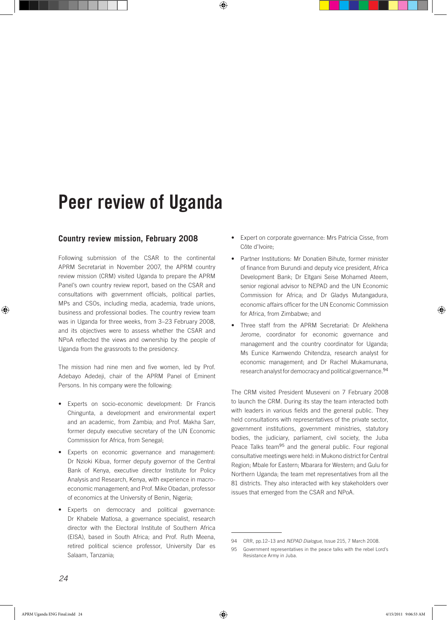## Peer review of Uganda

## **Country review mission, February 2008**

Following submission of the CSAR to the continental APRM Secretariat in November 2007, the APRM country review mission (CRM) visited Uganda to prepare the APRM Panel's own country review report, based on the CSAR and consultations with government officials, political parties, MPs and CSOs, including media, academia, trade unions, business and professional bodies. The country review team was in Uganda for three weeks, from 3–23 February 2008, and its objectives were to assess whether the CSAR and NPoA reflected the views and ownership by the people of Uganda from the grassroots to the presidency.

The mission had nine men and five women, led by Prof. Adebayo Adedeji, chair of the APRM Panel of Eminent Persons. In his company were the following:

- • Experts on socio-economic development: Dr Francis Chingunta, a development and environmental expert and an academic, from Zambia; and Prof. Makha Sarr, former deputy executive secretary of the UN Economic Commission for Africa, from Senegal;
- • Experts on economic governance and management: Dr Nzioki Kibua, former deputy governor of the Central Bank of Kenya, executive director Institute for Policy Analysis and Research, Kenya, with experience in macroeconomic management; and Prof. Mike Obadan, professor of economics at the University of Benin, Nigeria;
- Experts on democracy and political governance: Dr Khabele Matlosa, a governance specialist, research director with the Electoral Institute of Southern Africa (EISA), based in South Africa; and Prof. Ruth Meena, retired political science professor, University Dar es Salaam, Tanzania;
- Expert on corporate governance: Mrs Patricia Cisse, from Côte d'Ivoire;
- Partner Institutions: Mr Donatien Bihute, former minister of finance from Burundi and deputy vice president, Africa Development Bank; Dr Eltgani Seise Mohamed Ateem, senior regional advisor to NEPAD and the UN Economic Commission for Africa; and Dr Gladys Mutangadura, economic affairs officer for the UN Economic Commission for Africa, from Zimbabwe; and
- Three staff from the APRM Secretariat: Dr Afeikhena Jerome, coordinator for economic governance and management and the country coordinator for Uganda; Ms Eunice Kamwendo Chitendza, research analyst for economic management; and Dr Rachel Mukamunana, research analyst for democracy and political governance.<sup>94</sup>

The CRM visited President Museveni on 7 February 2008 to launch the CRM. During its stay the team interacted both with leaders in various fields and the general public. They held consultations with representatives of the private sector, government institutions, government ministries, statutory bodies, the judiciary, parliament, civil society, the Juba Peace Talks team<sup>95</sup> and the general public. Four regional consultative meetings were held: in Mukono district for Central Region; Mbale for Eastern; Mbarara for Western; and Gulu for Northern Uganda; the team met representatives from all the 81 districts. They also interacted with key stakeholders over issues that emerged from the CSAR and NPoA.

<sup>94</sup> CRR, pp.12–13 and *NEPAD Dialogue,* Issue 215, 7 March 2008.

<sup>95</sup> Government representatives in the peace talks with the rebel Lord's Resistance Army in Juba.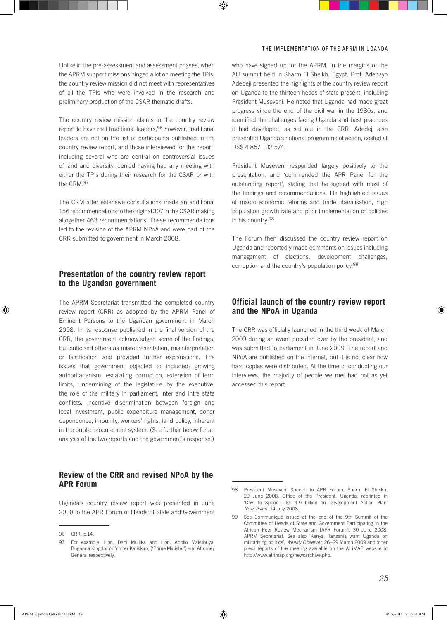Unlike in the pre-assessment and assessment phases, when the APRM support missions hinged a lot on meeting the TPIs, the country review mission did not meet with representatives of all the TPIs who were involved in the research and preliminary production of the CSAR thematic drafts.

The country review mission claims in the country review report to have met traditional leaders;96 however, traditional leaders are not on the list of participants published in the country review report, and those interviewed for this report, including several who are central on controversial issues of land and diversity, denied having had any meeting with either the TPIs during their research for the CSAR or with the CRM.<sup>97</sup>

The CRM after extensive consultations made an additional 156 recommendations to the original 307 in the CSAR making altogether 463 recommendations. These recommendations led to the revision of the APRM NPoA and were part of the CRR submitted to government in March 2008.

## **Presentation of the country review report to the Ugandan government**

The APRM Secretariat transmitted the completed country review report (CRR) as adopted by the APRM Panel of Eminent Persons to the Ugandan government in March 2008. In its response published in the final version of the CRR, the government acknowledged some of the findings, but criticised others as misrepresentation, misinterpretation or falsification and provided further explanations. The issues that government objected to included: growing authoritarianism, escalating corruption, extension of term limits, undermining of the legislature by the executive, the role of the military in parliament, inter and intra state conflicts, incentive discrimination between foreign and local investment, public expenditure management, donor dependence, impunity, workers' rights, land policy, inherent in the public procurement system. (See further below for an analysis of the two reports and the government's response.)

## **Review of the CRR and revised NPoA by the APR Forum**

Uganda's country review report was presented in June 2008 to the APR Forum of Heads of State and Government

who have signed up for the APRM, in the margins of the AU summit held in Sharm El Sheikh, Egypt. Prof. Adebayo Adedeji presented the highlights of the country review report on Uganda to the thirteen heads of state present, including President Museveni. He noted that Uganda had made great progress since the end of the civil war in the 1980s, and identified the challenges facing Uganda and best practices it had developed, as set out in the CRR. Adedeji also presented Uganda's national programme of action, costed at US\$ 4 857 102 574.

President Museveni responded largely positively to the presentation, and 'commended the APR Panel for the outstanding report', stating that he agreed with most of the findings and recommendations. He highlighted issues of macro-economic reforms and trade liberalisation, high population growth rate and poor implementation of policies in his country.<sup>98</sup>

The Forum then discussed the country review report on Uganda and reportedly made comments on issues including management of elections, development challenges, corruption and the country's population policy.<sup>99</sup>

## **Official launch of the country review report and the NPoA in Uganda**

The CRR was officially launched in the third week of March 2009 during an event presided over by the president, and was submitted to parliament in June 2009. The report and NPoA are published on the internet, but it is not clear how hard copies were distributed. At the time of conducting our interviews, the majority of people we met had not as yet accessed this report.

<sup>96</sup> CRR, p.14.

<sup>97</sup> For example, Hon. Dani Muliika and Hon. Apollo Makubuya, Buganda Kingdom's former Katikkiro, ('Prime Minister') and Attorney General respectively.

<sup>98</sup> President Museveni Speech to APR Forum, Sharm El Sheikh, 29 June 2008, Office of the President, Uganda; reprinted in 'Govt to Spend US\$ 4.9 billion on Development Action Plan' *New Vision*, 14 July 2008.

<sup>99</sup> See Communiqué issued at the end of the 9th Summit of the Committee of Heads of State and Government Participating in the African Peer Review Mechanism [APR Forum], 30 June 2008, APRM Secretariat. See also 'Kenya, Tanzania warn Uganda on militarising politics', *Weekly Observer*, 26–29 March 2009 and other press reports of the meeting available on the AfriMAP website at http://www.afrimap.org/newsarchive.php.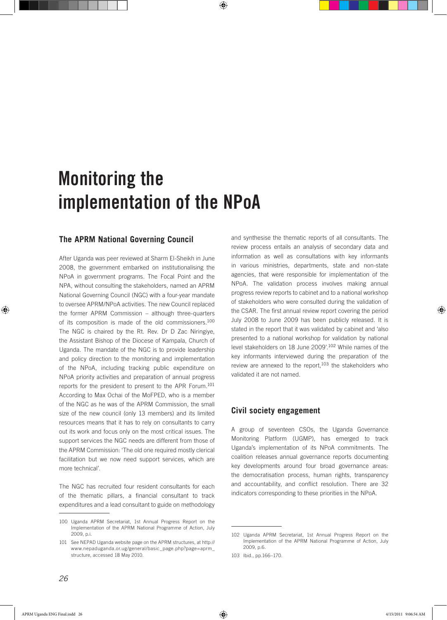# Monitoring the implementation of the NPoA

## **The APRM National Governing Council**

After Uganda was peer reviewed at Sharm El-Sheikh in June 2008, the government embarked on institutionalising the NPoA in government programs. The Focal Point and the NPA, without consulting the stakeholders, named an APRM National Governing Council (NGC) with a four-year mandate to oversee APRM/NPoA activities. The new Council replaced the former APRM Commission – although three-quarters of its composition is made of the old commissioners.<sup>100</sup> The NGC is chaired by the Rt. Rev. Dr D Zac Niringiye, the Assistant Bishop of the Diocese of Kampala, Church of Uganda. The mandate of the NGC is to provide leadership and policy direction to the monitoring and implementation of the NPoA, including tracking public expenditure on NPoA priority activities and preparation of annual progress reports for the president to present to the APR Forum.<sup>101</sup> According to Max Ochai of the MoFPED, who is a member of the NGC as he was of the APRM Commission, the small size of the new council (only 13 members) and its limited resources means that it has to rely on consultants to carry out its work and focus only on the most critical issues. The support services the NGC needs are different from those of the APRM Commission: 'The old one required mostly clerical facilitation but we now need support services, which are more technical'.

The NGC has recruited four resident consultants for each of the thematic pillars, a financial consultant to track expenditures and a lead consultant to guide on methodology and synthesise the thematic reports of all consultants. The review process entails an analysis of secondary data and information as well as consultations with key informants in various ministries, departments, state and non-state agencies, that were responsible for implementation of the NPoA. The validation process involves making annual progress review reports to cabinet and to a national workshop of stakeholders who were consulted during the validation of the CSAR. The first annual review report covering the period July 2008 to June 2009 has been publicly released. It is stated in the report that it was validated by cabinet and 'also presented to a national workshop for validation by national level stakeholders on 18 June 2009'.102 While names of the key informants interviewed during the preparation of the review are annexed to the report,<sup>103</sup> the stakeholders who validated it are not named.

## **Civil society engagement**

A group of seventeen CSOs, the Uganda Governance Monitoring Platform (UGMP), has emerged to track Uganda's implementation of its NPoA commitments. The coalition releases annual governance reports documenting key developments around four broad governance areas: the democratisation process, human rights, transparency and accountability, and conflict resolution. There are 32 indicators corresponding to these priorities in the NPoA.

<sup>100</sup> Uganda APRM Secretariat, 1st Annual Progress Report on the Implementation of the APRM National Programme of Action, July 2009, p.i.

<sup>101</sup> See NEPAD Uganda website page on the APRM structures, at http:// www.nepaduganda.or.ug/general/basic\_page.php?page=aprm\_ structure, accessed 18 May 2010.

<sup>102</sup> Uganda APRM Secretariat, 1st Annual Progress Report on the Implementation of the APRM National Programme of Action, July 2009, p.6.

<sup>103</sup> Ibid., pp.166–170.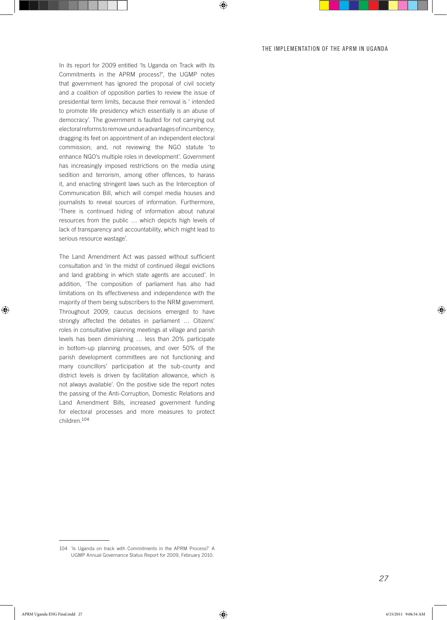In its report for 2009 entitled 'Is Uganda on Track with its Commitments in the APRM process?', the UGMP notes that government has ignored the proposal of civil society and a coalition of opposition parties to review the issue of presidential term limits, because their removal is ' intended to promote life presidency which essentially is an abuse of democracy'. The government is faulted for not carrying out electoral reforms to remove undue advantages of incumbency; dragging its feet on appointment of an independent electoral commission; and, not reviewing the NGO statute 'to enhance NGO's multiple roles in development'. Government has increasingly imposed restrictions on the media using sedition and terrorism, among other offences, to harass it, and enacting stringent laws such as the Interception of Communication Bill, which will compel media houses and journalists to reveal sources of information. Furthermore, 'There is continued hiding of information about natural resources from the public … which depicts high levels of lack of transparency and accountability, which might lead to serious resource wastage'.

The Land Amendment Act was passed without sufficient consultation and 'in the midst of continued illegal evictions and land grabbing in which state agents are accused'. In addition, 'The composition of parliament has also had limitations on its effectiveness and independence with the majority of them being subscribers to the NRM government. Throughout 2009, caucus decisions emerged to have strongly affected the debates in parliament … Citizens' roles in consultative planning meetings at village and parish levels has been diminishing … less than 20% participate in bottom-up planning processes, and over 50% of the parish development committees are not functioning and many councillors' participation at the sub-county and district levels is driven by facilitation allowance, which is not always available'. On the positive side the report notes the passing of the Anti-Corruption, Domestic Relations and Land Amendment Bills, increased government funding for electoral processes and more measures to protect children.<sup>104</sup>

<sup>104 &#</sup>x27;Is Uganda on track with Commitments in the APRM Process?' A UGMP Annual Governance Status Report for 2009, February 2010.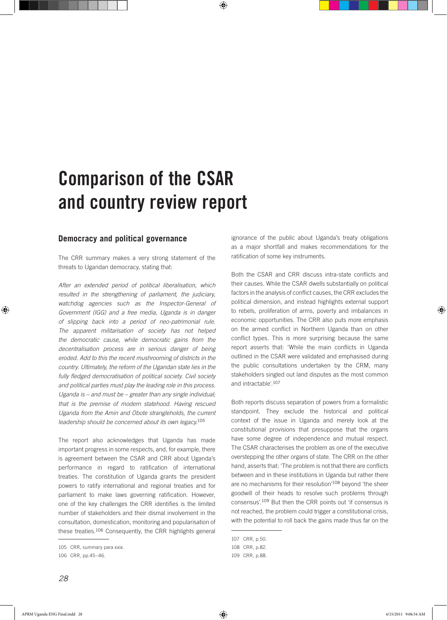# Comparison of the CSAR and country review report

#### **Democracy and political governance**

The CRR summary makes a very strong statement of the threats to Ugandan democracy, stating that:

*After an extended period of political liberalisation, which resulted in the strengthening of parliament, the judiciary, watchdog agencies such as the Inspector-General of Government (IGG) and a free media, Uganda is in danger of slipping back into a period of neo-patrimonial rule. The apparent militarisation of society has not helped the democratic cause, while democratic gains from the decentralisation process are in serious danger of being eroded. Add to this the recent mushrooming of districts in the country. Ultimately, the reform of the Ugandan state lies in the fully fledged democratisation of political society. Civil society and political parties must play the leading role in this process. Uganda is – and must be – greater than any single individual; that is the premise of modern statehood. Having rescued Uganda from the Amin and Obote strangleholds, the current leadership should be concerned about its own legacy.*<sup>105</sup>

The report also acknowledges that Uganda has made important progress in some respects, and, for example, there is agreement between the CSAR and CRR about Uganda's performance in regard to ratification of international treaties. The constitution of Uganda grants the president powers to ratify international and regional treaties and for parliament to make laws governing ratification. However, one of the key challenges the CRR identifies is the limited number of stakeholders and their dismal involvement in the consultation, domestication, monitoring and popularisation of these treaties.106 Consequently, the CRR highlights general

ignorance of the public about Uganda's treaty obligations as a major shortfall and makes recommendations for the ratification of some key instruments.

Both the CSAR and CRR discuss intra-state conflicts and their causes. While the CSAR dwells substantially on political factors in the analysis of conflict causes, the CRR excludes the political dimension, and instead highlights external support to rebels, proliferation of arms, poverty and imbalances in economic opportunities. The CRR also puts more emphasis on the armed conflict in Northern Uganda than on other conflict types. This is more surprising because the same report asserts that: 'While the main conflicts in Uganda outlined in the CSAR were validated and emphasised during the public consultations undertaken by the CRM, many stakeholders singled out land disputes as the most common and intractable'.<sup>107</sup>

Both reports discuss separation of powers from a formalistic standpoint. They exclude the historical and political context of the issue in Uganda and merely look at the constitutional provisions that presuppose that the organs have some degree of independence and mutual respect. The CSAR characterises the problem as one of the executive overstepping the other organs of state. The CRR on the other hand, asserts that: 'The problem is not that there are conflicts between and in these institutions in Uganda but rather there are no mechanisms for their resolution'<sup>108</sup> beyond 'the sheer goodwill of their heads to resolve such problems through consensus'.<sup>109</sup> But then the CRR points out 'if consensus is not reached, the problem could trigger a constitutional crisis, with the potential to roll back the gains made thus far on the

<sup>105</sup> CRR, summary para xxix.

<sup>106</sup> CRR, pp.45–46.

<sup>107</sup> CRR, p.50.

<sup>108</sup> CRR, p.82.

<sup>109</sup> CRR, p.88.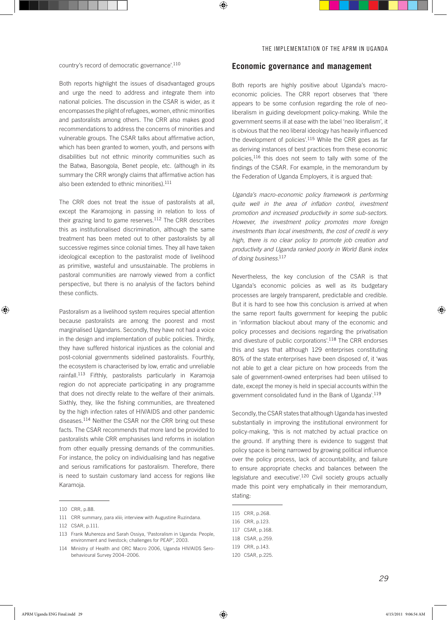country's record of democratic governance'.<sup>110</sup>

Both reports highlight the issues of disadvantaged groups and urge the need to address and integrate them into national policies. The discussion in the CSAR is wider, as it encompasses the plight of refugees, women, ethnic minorities and pastoralists among others. The CRR also makes good recommendations to address the concerns of minorities and vulnerable groups. The CSAR talks about affirmative action, which has been granted to women, youth, and persons with disabilities but not ethnic minority communities such as the Batwa, Basongola, Benet people, etc. (although in its summary the CRR wrongly claims that affirmative action has also been extended to ethnic minorities).<sup>111</sup>

The CRR does not treat the issue of pastoralists at all, except the Karamojong in passing in relation to loss of their grazing land to game reserves. $112$  The CRR describes this as institutionalised discrimination, although the same treatment has been meted out to other pastoralists by all successive regimes since colonial times. They all have taken ideological exception to the pastoralist mode of livelihood as primitive, wasteful and unsustainable. The problems in pastoral communities are narrowly viewed from a conflict perspective, but there is no analysis of the factors behind these conflicts.

Pastoralism as a livelihood system requires special attention because pastoralists are among the poorest and most marginalised Ugandans. Secondly, they have not had a voice in the design and implementation of public policies. Thirdly, they have suffered historical injustices as the colonial and post-colonial governments sidelined pastoralists. Fourthly, the ecosystem is characterised by low, erratic and unreliable rainfall.<sup>113</sup> Fifthly, pastoralists particularly in Karamoja region do not appreciate participating in any programme that does not directly relate to the welfare of their animals. Sixthly, they, like the fishing communities, are threatened by the high infection rates of HIV/AIDS and other pandemic diseases.114 Neither the CSAR nor the CRR bring out these facts. The CSAR recommends that more land be provided to pastoralists while CRR emphasises land reforms in isolation from other equally pressing demands of the communities. For instance, the policy on individualising land has negative and serious ramifications for pastoralism. Therefore, there is need to sustain customary land access for regions like Karamoja.

#### **Economic governance and management**

Both reports are highly positive about Uganda's macroeconomic policies. The CRR report observes that 'there appears to be some confusion regarding the role of neoliberalism in guiding development policy-making. While the government seems ill at ease with the label 'neo liberalism', it is obvious that the neo liberal ideology has heavily influenced the development of policies'.115 While the CRR goes as far as deriving instances of best practices from these economic policies,116 this does not seem to tally with some of the findings of the CSAR. For example, in the memorandum by the Federation of Uganda Employers, it is argued that:

*Uganda's macro-economic policy framework is performing quite well in the area of inflation control, investment promotion and increased productivity in some sub-sectors. However, the investment policy promotes more foreign investments than local investments, the cost of credit is very high, there is no clear policy to promote job creation and productivity and Uganda ranked poorly in World Bank index of doing business.*<sup>117</sup>

Nevertheless, the key conclusion of the CSAR is that Uganda's economic policies as well as its budgetary processes are largely transparent, predictable and credible. But it is hard to see how this conclusion is arrived at when the same report faults government for keeping the public in 'information blackout about many of the economic and policy processes and decisions regarding the privatisation and divesture of public corporations'.118 The CRR endorses this and says that although 129 enterprises constituting 80% of the state enterprises have been disposed of, it 'was not able to get a clear picture on how proceeds from the sale of government-owned enterprises had been utilised to date, except the money is held in special accounts within the government consolidated fund in the Bank of Uganda'.<sup>119</sup>

Secondly, the CSAR states that although Uganda has invested substantially in improving the institutional environment for policy-making, 'this is not matched by actual practice on the ground. If anything there is evidence to suggest that policy space is being narrowed by growing political influence over the policy process, lack of accountability, and failure to ensure appropriate checks and balances between the legislature and executive'.<sup>120</sup> Civil society groups actually made this point very emphatically in their memorandum, stating:

<sup>110</sup> CRR, p.88.

<sup>111</sup> CRR summary, para xliii; interview with Augustine Ruzindana.

<sup>112</sup> CSAR, p.111.

<sup>113</sup> Frank Muhereza and Sarah Ossiya, 'Pastoralism in Uganda: People, environment and livestock; challenges for PEAP', 2003.

<sup>114</sup> Ministry of Health and ORC Macro 2006, Uganda HIV/AIDS Serobehavioural Survey 2004–2006.

<sup>115</sup> CRR, p.268.

<sup>116</sup> CRR, p.123.

<sup>117</sup> CSAR, p.168.

<sup>118</sup> CSAR, p.259.

<sup>119</sup> CRR, p.143.

<sup>120</sup> CSAR, p.225.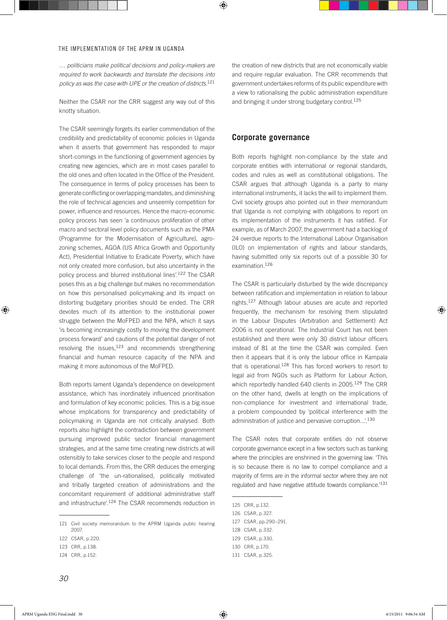*… politicians make political decisions and policy-makers are required to work backwards and translate the decisions into policy as was the case with UPE or the creation of districts.*<sup>121</sup>

Neither the CSAR nor the CRR suggest any way out of this knotty situation.

The CSAR seemingly forgets its earlier commendation of the credibility and predictability of economic policies in Uganda when it asserts that government has responded to major short-comings in the functioning of government agencies by creating new agencies, which are in most cases parallel to the old ones and often located in the Office of the President. The consequence in terms of policy processes has been to generate conflicting or overlapping mandates, and diminishing the role of technical agencies and unseemly competition for power, influence and resources. Hence the macro-economic policy process has seen 'a continuous proliferation of other macro and sectoral level policy documents such as the PMA (Programme for the Modernisation of Agriculture), agrozoning schemes, AGOA (US Africa Growth and Opportunity Act), Presidential Initiative to Eradicate Poverty, which have not only created more confusion, but also uncertainty in the policy process and blurred institutional lines'.122 The CSAR poses this as a big challenge but makes no recommendation on how this personalised policymaking and its impact on distorting budgetary priorities should be ended. The CRR devotes much of its attention to the institutional power struggle between the MoFPED and the NPA, which it says 'is becoming increasingly costly to moving the development process forward' and cautions of the potential danger of not resolving the issues, $123$  and recommends strengthening financial and human resource capacity of the NPA and making it more autonomous of the MoFPED.

Both reports lament Uganda's dependence on development assistance, which has inordinately influenced prioritisation and formulation of key economic policies. This is a big issue whose implications for transparency and predictability of policymaking in Uganda are not critically analysed. Both reports also highlight the contradiction between government pursuing improved public sector financial management strategies, and at the same time creating new districts at will ostensibly to take services closer to the people and respond to local demands. From this, the CRR deduces the emerging challenge of 'the un-rationalised, politically motivated and tribally targeted creation of administrations and the concomitant requirement of additional administrative staff and infrastructure'.<sup>124</sup> The CSAR recommends reduction in

## **Corporate governance**

Both reports highlight non-compliance by the state and corporate entities with international or regional standards, codes and rules as well as constitutional obligations. The CSAR argues that although Uganda is a party to many international instruments, it lacks the will to implement them. Civil society groups also pointed out in their memorandum that Uganda is not complying with obligations to report on its implementation of the instruments it has ratified. For example, as of March 2007, the government had a backlog of 24 overdue reports to the International Labour Organisation (ILO) on implementation of rights and labour standards, having submitted only six reports out of a possible 30 for examination.<sup>126</sup>

The CSAR is particularly disturbed by the wide discrepancy between ratification and implementation in relation to labour rights.127 Although labour abuses are acute and reported frequently, the mechanism for resolving them stipulated in the Labour Disputes (Arbitration and Settlement) Act 2006 is not operational. The Industrial Court has not been established and there were only 30 district labour officers instead of 81 at the time the CSAR was compiled. Even then it appears that it is only the labour office in Kampala that is operational.<sup>128</sup> This has forced workers to resort to legal aid from NGOs such as Platform for Labour Action, which reportedly handled 640 clients in 2005.<sup>129</sup> The CRR on the other hand, dwells at length on the implications of non-compliance for investment and international trade, a problem compounded by 'political interference with the administration of justice and pervasive corruption...'.<sup>130</sup>

The CSAR notes that corporate entities do not observe corporate governance except in a few sectors such as banking where the principles are enshrined in the governing law. 'This is so because there is no law to compel compliance and a majority of firms are in the informal sector where they are not regulated and have negative attitude towards compliance.'<sup>131</sup>

<sup>121</sup> Civil society memorandum to the APRM Uganda public hearing 2007.

<sup>122</sup> CSAR, p.220.

<sup>123</sup> CRR, p.138.

<sup>124</sup> CRR, p.152.

<sup>125</sup> CRR, p.132.

<sup>126</sup> CSAR, p.327.

<sup>127</sup> CSAR, pp.290–291.

<sup>128</sup> CSAR, p.332.

<sup>129</sup> CSAR, p.330.

<sup>130</sup> CRR, p.170.

<sup>131</sup> CSAR, p.325.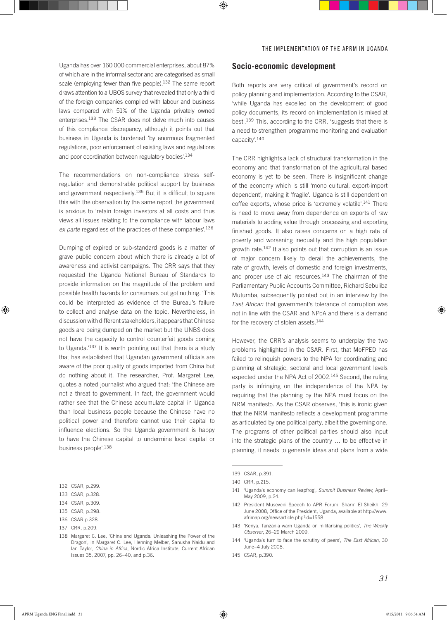Uganda has over 160 000 commercial enterprises, about 87% of which are in the informal sector and are categorised as small scale (employing fewer than five people).<sup>132</sup> The same report draws attention to a UBOS survey that revealed that only a third of the foreign companies complied with labour and business laws compared with 51% of the Uganda privately owned enterprises.133 The CSAR does not delve much into causes of this compliance discrepancy, although it points out that business in Uganda is burdened 'by enormous fragmented regulations, poor enforcement of existing laws and regulations and poor coordination between regulatory bodies'.<sup>134</sup>

The recommendations on non-compliance stress selfregulation and demonstrable political support by business and government respectively.<sup>135</sup> But it is difficult to square this with the observation by the same report the government is anxious to 'retain foreign investors at all costs and thus views all issues relating to the compliance with labour laws *ex parte* regardless of the practices of these companies'.<sup>136</sup>

Dumping of expired or sub-standard goods is a matter of grave public concern about which there is already a lot of awareness and activist campaigns. The CRR says that they requested the Uganda National Bureau of Standards to provide information on the magnitude of the problem and possible health hazards for consumers but got nothing. 'This could be interpreted as evidence of the Bureau's failure to collect and analyse data on the topic. Nevertheless, in discussion with different stakeholders, it appears that Chinese goods are being dumped on the market but the UNBS does not have the capacity to control counterfeit goods coming to Uganda.'137 It is worth pointing out that there is a study that has established that Ugandan government officials are aware of the poor quality of goods imported from China but do nothing about it. The researcher, Prof. Margaret Lee, quotes a noted journalist who argued that: 'the Chinese are not a threat to government. In fact, the government would rather see that the Chinese accumulate capital in Uganda than local business people because the Chinese have no political power and therefore cannot use their capital to influence elections. So the Uganda government is happy to have the Chinese capital to undermine local capital or business people'.<sup>138</sup>

#### **Socio-economic development**

Both reports are very critical of government's record on policy planning and implementation. According to the CSAR, 'while Uganda has excelled on the development of good policy documents, its record on implementation is mixed at best'.139 This, according to the CRR, 'suggests that there is a need to strengthen programme monitoring and evaluation capacity'.<sup>140</sup>

The CRR highlights a lack of structural transformation in the economy and that transformation of the agricultural based economy is yet to be seen. There is insignificant change of the economy which is still 'mono cultural, export-import dependent', making it 'fragile'. Uganda is still dependent on coffee exports, whose price is 'extremely volatile'.<sup>141</sup> There is need to move away from dependence on exports of raw materials to adding value through processing and exporting finished goods. It also raises concerns on a high rate of poverty and worsening inequality and the high population growth rate.142 It also points out that corruption is an issue of major concern likely to derail the achievements, the rate of growth, levels of domestic and foreign investments, and proper use of aid resources.<sup>143</sup> The chairman of the Parliamentary Public Accounts Committee, Richard Sebuliba Mutumba, subsequently pointed out in an interview by the *East African* that government's tolerance of corruption was not in line with the CSAR and NPoA and there is a demand for the recovery of stolen assets.<sup>144</sup>

However, the CRR's analysis seems to underplay the two problems highlighted in the CSAR. First, that MoFPED has failed to relinquish powers to the NPA for coordinating and planning at strategic, sectoral and local government levels expected under the NPA Act of 2002.145 Second, the ruling party is infringing on the independence of the NPA by requiring that the planning by the NPA must focus on the NRM manifesto. As the CSAR observes, 'this is ironic given that the NRM manifesto reflects a development programme as articulated by one political party, albeit the governing one. The programs of other political parties should also input into the strategic plans of the country … to be effective in planning, it needs to generate ideas and plans from a wide

<sup>132</sup> CSAR, p.299.

<sup>133</sup> CSAR, p.328.

<sup>134</sup> CSAR p.309

<sup>135</sup> CSAR, p.298.

<sup>136</sup> CSAR p.328.

<sup>137</sup> CRR, p.209.

<sup>138</sup> Margaret C. Lee, 'China and Uganda: Unleashing the Power of the Dragon', in Margaret C. Lee, Henning Melber, Sanusha Naidu and Ian Taylor, *China in Africa*, Nordic Africa Institute, Current African Issues 35, 2007, pp. 26–40, and p.36.

<sup>139</sup> CSAR, p.391.

<sup>140</sup> CRR, p.215.

<sup>141 &#</sup>x27;Uganda's economy can leapfrog', *Summit Business Review*, April– May 2009, p.24.

<sup>142</sup> President Museveni Speech to APR Forum, Sharm El Sheikh, 29 June 2008, Office of the President, Uganda, available at http://www. afrimap.org/newsarticle.php?id=1558.

<sup>143 &#</sup>x27;Kenya, Tanzania warn Uganda on militarising politics', *The Weekly Observer*, 26–29 March 2009.

<sup>144 &#</sup>x27;Uganda's turn to face the scrutiny of peers', *The East African*, 30 June–4 July 2008.

<sup>145</sup> CSAR, p.390.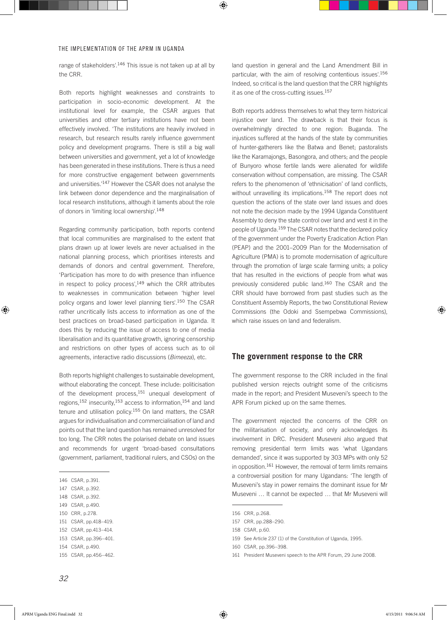range of stakeholders'.<sup>146</sup> This issue is not taken up at all by the CRR.

Both reports highlight weaknesses and constraints to participation in socio-economic development. At the institutional level for example, the CSAR argues that universities and other tertiary institutions have not been effectively involved. 'The institutions are heavily involved in research, but research results rarely influence government policy and development programs. There is still a big wall between universities and government, yet a lot of knowledge has been generated in these institutions. There is thus a need for more constructive engagement between governments and universities.'147 However the CSAR does not analyse the link between donor dependence and the marginalisation of local research institutions, although it laments about the role of donors in 'limiting local ownership'.<sup>148</sup>

Regarding community participation, both reports contend that local communities are marginalised to the extent that plans drawn up at lower levels are never actualised in the national planning process, which prioritises interests and demands of donors and central government. Therefore, 'Participation has more to do with presence than influence in respect to policy process', $149$  which the CRR attributes to weaknesses in communication between 'higher level policy organs and lower level planning tiers'.150 The CSAR rather uncritically lists access to information as one of the best practices on broad-based participation in Uganda. It does this by reducing the issue of access to one of media liberalisation and its quantitative growth, ignoring censorship and restrictions on other types of access such as to oil agreements, interactive radio discussions (*Bimeeza*), etc.

Both reports highlight challenges to sustainable development, without elaborating the concept. These include: politicisation of the development process,<sup>151</sup> unequal development of regions,152 insecurity,153 access to information,154 and land tenure and utilisation policy.155 On land matters, the CSAR argues for individualisation and commercialisation of land and points out that the land question has remained unresolved for too long. The CRR notes the polarised debate on land issues and recommends for urgent 'broad-based consultations (government, parliament, traditional rulers, and CSOs) on the

146 CSAR, p.391.

- 148 CSAR, p.392.
- 149 CSAR, p.490.
- 150 CRR, p.278.
- 151 CSAR, pp.418–419.
- 152 CSAR, pp.413–414.
- 153 CSAR, pp.396–401.
- 154 CSAR, p.490.

land question in general and the Land Amendment Bill in particular, with the aim of resolving contentious issues'.<sup>156</sup> Indeed, so critical is the land question that the CRR highlights it as one of the cross-cutting issues.<sup>157</sup>

Both reports address themselves to what they term historical injustice over land. The drawback is that their focus is overwhelmingly directed to one region: Buganda. The injustices suffered at the hands of the state by communities of hunter-gatherers like the Batwa and Benet; pastoralists like the Karamajongs, Basongora, and others; and the people of Bunyoro whose fertile lands were alienated for wildlife conservation without compensation, are missing. The CSAR refers to the phenomenon of 'ethnicisation' of land conflicts, without unravelling its implications.<sup>158</sup> The report does not question the actions of the state over land issues and does not note the decision made by the 1994 Uganda Constituent Assembly to deny the state control over land and vest it in the people of Uganda.159 The CSAR notes that the declared policy of the government under the Poverty Eradication Action Plan (PEAP) and the 2001–2009 Plan for the Modernisation of Agriculture (PMA) is to promote modernisation of agriculture through the promotion of large scale farming units; a policy that has resulted in the evictions of people from what was previously considered public land.160 The CSAR and the CRR should have borrowed from past studies such as the Constituent Assembly Reports, the two Constitutional Review Commissions (the Odoki and Ssempebwa Commissions), which raise issues on land and federalism.

### **The government response to the CRR**

The government response to the CRR included in the final published version rejects outright some of the criticisms made in the report; and President Museveni's speech to the APR Forum picked up on the same themes.

The government rejected the concerns of the CRR on the militarisation of society, and only acknowledges its involvement in DRC. President Museveni also argued that removing presidential term limits was 'what Ugandans demanded', since it was supported by 303 MPs with only 52 in opposition.<sup>161</sup> However, the removal of term limits remains a controversial position for many Ugandans: 'The length of Museveni's stay in power remains the dominant issue for Mr Museveni … It cannot be expected … that Mr Museveni will

<sup>147</sup> CSAR, p.392.

<sup>155</sup> CSAR, pp.456–462.

<sup>156</sup> CRR, p.268.

<sup>157</sup> CRR, pp.288–290.

<sup>158</sup> CSAR, p.60.

<sup>159</sup> See Article 237 (1) of the Constitution of Uganda, 1995.

<sup>160</sup> CSAR, pp.396–398.

<sup>161</sup> President Museveni speech to the APR Forum, 29 June 2008.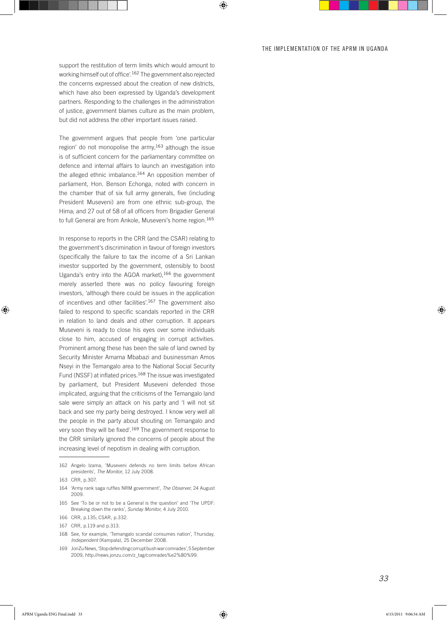support the restitution of term limits which would amount to working himself out of office'.162 The government also rejected the concerns expressed about the creation of new districts, which have also been expressed by Uganda's development partners. Responding to the challenges in the administration of justice, government blames culture as the main problem, but did not address the other important issues raised.

The government argues that people from 'one particular region' do not monopolise the army,<sup>163</sup> although the issue is of sufficient concern for the parliamentary committee on defence and internal affairs to launch an investigation into the alleged ethnic imbalance.<sup>164</sup> An opposition member of parliament, Hon. Benson Echonga, noted with concern in the chamber that of six full army generals, five (including President Museveni) are from one ethnic sub-group, the Hima; and 27 out of 58 of all officers from Brigadier General to full General are from Ankole, Museveni's home region.<sup>165</sup>

In response to reports in the CRR (and the CSAR) relating to the government's discrimination in favour of foreign investors (specifically the failure to tax the income of a Sri Lankan investor supported by the government, ostensibly to boost Uganda's entry into the AGOA market),166 the government merely asserted there was no policy favouring foreign investors, 'although there could be issues in the application of incentives and other facilities'.167 The government also failed to respond to specific scandals reported in the CRR in relation to land deals and other corruption. It appears Museveni is ready to close his eyes over some individuals close to him, accused of engaging in corrupt activities. Prominent among these has been the sale of land owned by Security Minister Amama Mbabazi and businessman Amos Nseyi in the Temangalo area to the National Social Security Fund (NSSF) at inflated prices.<sup>168</sup> The issue was investigated by parliament, but President Museveni defended those implicated, arguing that the criticisms of the Temangalo land sale were simply an attack on his party and 'I will not sit back and see my party being destroyed. I know very well all the people in the party about shouting on Temangalo and very soon they will be fixed'.169 The government response to the CRR similarly ignored the concerns of people about the increasing level of nepotism in dealing with corruption.

<sup>162</sup> Angelo Izama, 'Museveni defends no term limits before African presidents', *The Monitor*, 12 July 2008.

<sup>163</sup> CRR, p.307.

<sup>164 &#</sup>x27;Army rank saga ruffles NRM government', *The Observer,* 24 August 2009.

<sup>165</sup> See 'To be or not to be a General is the question' and 'The UPDF: Breaking down the ranks', *Sunday Monitor*, 4 July 2010.

<sup>166</sup> CRR, p.135; CSAR, p.332.

<sup>167</sup> CRR, p.119 and p.313.

<sup>168</sup> See, for example, 'Temangalo scandal consumes nation', Thursday, *Independent* (Kampala), 25 December 2008.

<sup>169</sup> JonZu News, 'Stop defending corrupt bush war comrades', 5 September 2009, http://news.jonzu.com/z\_tag/comrades%e2%80%99.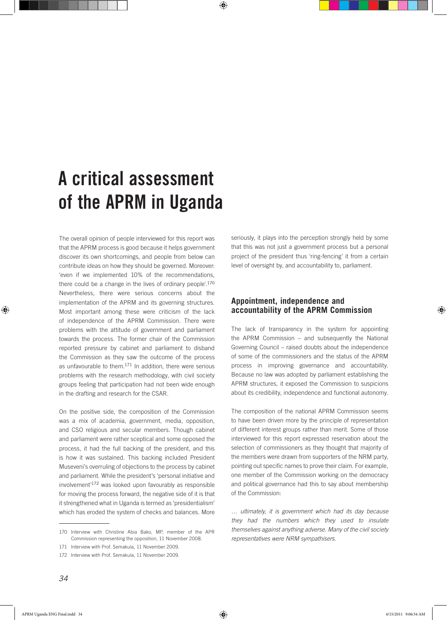# A critical assessment of the APRM in Uganda

The overall opinion of people interviewed for this report was that the APRM process is good because it helps government discover its own shortcomings, and people from below can contribute ideas on how they should be governed. Moreover: 'even if we implemented 10% of the recommendations, there could be a change in the lives of ordinary people<sup>'170</sup> Nevertheless, there were serious concerns about the implementation of the APRM and its governing structures. Most important among these were criticism of the lack of independence of the APRM Commission. There were problems with the attitude of government and parliament towards the process. The former chair of the Commission reported pressure by cabinet and parliament to disband the Commission as they saw the outcome of the process as unfavourable to them.171 In addition, there were serious problems with the research methodology, with civil society groups feeling that participation had not been wide enough in the drafting and research for the CSAR.

On the positive side, the composition of the Commission was a mix of academia, government, media, opposition, and CSO religious and secular members. Though cabinet and parliament were rather sceptical and some opposed the process, it had the full backing of the president, and this is how it was sustained. This backing included President Museveni's overruling of objections to the process by cabinet and parliament. While the president's 'personal initiative and involvement'<sup>172</sup> was looked upon favourably as responsible for moving the process forward, the negative side of it is that it strengthened what in Uganda is termed as 'presidentialism' which has eroded the system of checks and balances. More

seriously, it plays into the perception strongly held by some that this was not just a government process but a personal project of the president thus 'ring-fencing' it from a certain level of oversight by, and accountability to, parliament.

## **Appointment, independence and accountability of the APRM Commission**

The lack of transparency in the system for appointing the APRM Commission – and subsequently the National Governing Council – raised doubts about the independence of some of the commissioners and the status of the APRM process in improving governance and accountability. Because no law was adopted by parliament establishing the APRM structures, it exposed the Commission to suspicions about its credibility, independence and functional autonomy.

The composition of the national APRM Commission seems to have been driven more by the principle of representation of different interest groups rather than merit. Some of those interviewed for this report expressed reservation about the selection of commissioners as they thought that majority of the members were drawn from supporters of the NRM party, pointing out specific names to prove their claim. For example, one member of the Commission working on the democracy and political governance had this to say about membership of the Commission:

*… ultimately, it is government which had its day because they had the numbers which they used to insulate themselves against anything adverse. Many of the civil society representatives were NRM sympathisers.*

<sup>170</sup> Interview with Christine Abia Bako, MP, member of the APR Commission representing the opposition, 11 November 2008.

<sup>171</sup> Interview with Prof. Semakula, 11 November 2009.

<sup>172</sup> Interview with Prof. Semakula, 11 November 2009.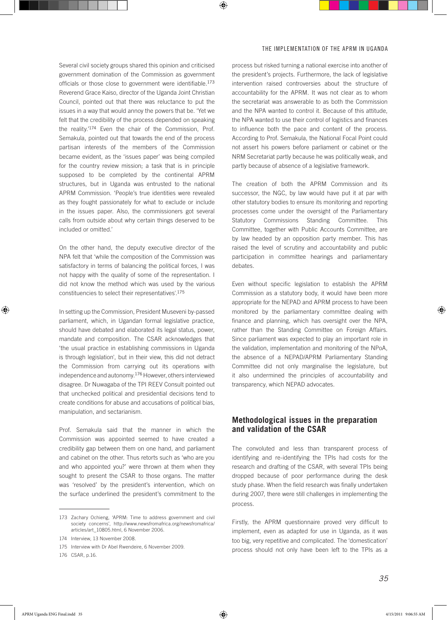Several civil society groups shared this opinion and criticised government domination of the Commission as government officials or those close to government were identifiable.<sup>173</sup> Reverend Grace Kaiso, director of the Uganda Joint Christian Council, pointed out that there was reluctance to put the issues in a way that would annoy the powers that be. 'Yet we felt that the credibility of the process depended on speaking the reality.'174 Even the chair of the Commission, Prof. Semakula, pointed out that towards the end of the process partisan interests of the members of the Commission became evident, as the 'issues paper' was being compiled for the country review mission; a task that is in principle supposed to be completed by the continental APRM structures, but in Uganda was entrusted to the national APRM Commission. 'People's true identities were revealed as they fought passionately for what to exclude or include in the issues paper. Also, the commissioners got several calls from outside about why certain things deserved to be included or omitted.'

On the other hand, the deputy executive director of the NPA felt that 'while the composition of the Commission was satisfactory in terms of balancing the political forces, I was not happy with the quality of some of the representation. I did not know the method which was used by the various constituencies to select their representatives'.<sup>175</sup>

In setting up the Commission, President Museveni by-passed parliament, which, in Ugandan formal legislative practice, should have debated and elaborated its legal status, power, mandate and composition. The CSAR acknowledges that 'the usual practice in establishing commissions in Uganda is through legislation', but in their view, this did not detract the Commission from carrying out its operations with independence and autonomy.176 However, others interviewed disagree. Dr Nuwagaba of the TPI REEV Consult pointed out that unchecked political and presidential decisions tend to create conditions for abuse and accusations of political bias, manipulation, and sectarianism.

Prof. Semakula said that the manner in which the Commission was appointed seemed to have created a credibility gap between them on one hand, and parliament and cabinet on the other. Thus retorts such as 'who are you and who appointed you?' were thrown at them when they sought to present the CSAR to those organs. The matter was 'resolved' by the president's intervention, which on the surface underlined the president's commitment to the process but risked turning a national exercise into another of the president's projects. Furthermore, the lack of legislative intervention raised controversies about the structure of accountability for the APRM. It was not clear as to whom the secretariat was answerable to as both the Commission and the NPA wanted to control it. Because of this attitude, the NPA wanted to use their control of logistics and finances to influence both the pace and content of the process. According to Prof. Semakula, the National Focal Point could not assert his powers before parliament or cabinet or the NRM Secretariat partly because he was politically weak, and partly because of absence of a legislative framework.

The creation of both the APRM Commission and its successor, the NGC, by law would have put it at par with other statutory bodies to ensure its monitoring and reporting processes come under the oversight of the Parliamentary Statutory Commissions Standing Committee. This Committee, together with Public Accounts Committee, are by law headed by an opposition party member. This has raised the level of scrutiny and accountability and public participation in committee hearings and parliamentary debates.

Even without specific legislation to establish the APRM Commission as a statutory body, it would have been more appropriate for the NEPAD and APRM process to have been monitored by the parliamentary committee dealing with finance and planning, which has oversight over the NPA, rather than the Standing Committee on Foreign Affairs. Since parliament was expected to play an important role in the validation, implementation and monitoring of the NPoA, the absence of a NEPAD/APRM Parliamentary Standing Committee did not only marginalise the legislature, but it also undermined the principles of accountability and transparency, which NEPAD advocates.

## **Methodological issues in the preparation and validation of the CSAR**

The convoluted and less than transparent process of identifying and re-identifying the TPIs had costs for the research and drafting of the CSAR, with several TPIs being dropped because of poor performance during the desk study phase. When the field research was finally undertaken during 2007, there were still challenges in implementing the process.

Firstly, the APRM questionnaire proved very difficult to implement, even as adapted for use in Uganda, as it was too big, very repetitive and complicated. The 'domestication' process should not only have been left to the TPIs as a

<sup>173</sup> Zachary Ochieng, 'APRM: Time to address government and civil society concerns', http://www.newsfromafrica.org/newsfromafrica/ articles/art\_10805.html, 6 November 2006.

<sup>174</sup> Interview, 13 November 2008.

<sup>175</sup> Interview with Dr Abel Rwendeire, 6 November 2009.

<sup>176</sup> CSAR, p.16.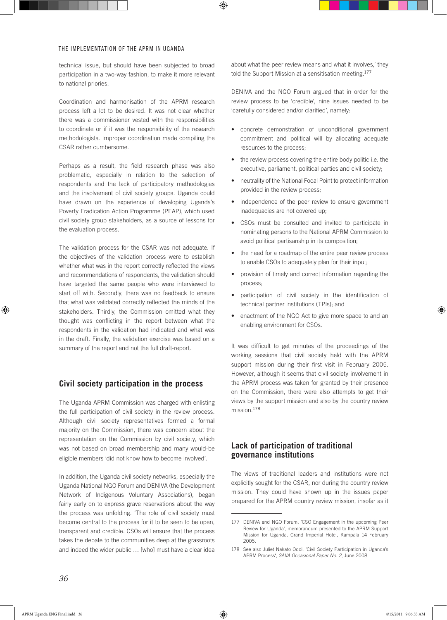technical issue, but should have been subjected to broad participation in a two-way fashion, to make it more relevant to national priories.

Coordination and harmonisation of the APRM research process left a lot to be desired. It was not clear whether there was a commissioner vested with the responsibilities to coordinate or if it was the responsibility of the research methodologists. Improper coordination made compiling the CSAR rather cumbersome.

Perhaps as a result, the field research phase was also problematic, especially in relation to the selection of respondents and the lack of participatory methodologies and the involvement of civil society groups. Uganda could have drawn on the experience of developing Uganda's Poverty Eradication Action Programme (PEAP), which used civil society group stakeholders, as a source of lessons for the evaluation process.

The validation process for the CSAR was not adequate. If the objectives of the validation process were to establish whether what was in the report correctly reflected the views and recommendations of respondents, the validation should have targeted the same people who were interviewed to start off with. Secondly, there was no feedback to ensure that what was validated correctly reflected the minds of the stakeholders. Thirdly, the Commission omitted what they thought was conflicting in the report between what the respondents in the validation had indicated and what was in the draft. Finally, the validation exercise was based on a summary of the report and not the full draft-report.

## **Civil society participation in the process**

The Uganda APRM Commission was charged with enlisting the full participation of civil society in the review process. Although civil society representatives formed a formal majority on the Commission, there was concern about the representation on the Commission by civil society, which was not based on broad membership and many would-be eligible members 'did not know how to become involved'.

In addition, the Uganda civil society networks, especially the Uganda National NGO Forum and DENIVA (the Development Network of Indigenous Voluntary Associations), began fairly early on to express grave reservations about the way the process was unfolding. 'The role of civil society must become central to the process for it to be seen to be open, transparent and credible. CSOs will ensure that the process takes the debate to the communities deep at the grassroots and indeed the wider public … [who] must have a clear idea

about what the peer review means and what it involves,' they told the Support Mission at a sensitisation meeting.<sup>177</sup>

DENIVA and the NGO Forum argued that in order for the review process to be 'credible', nine issues needed to be 'carefully considered and/or clarified', namely:

- • concrete demonstration of unconditional government commitment and political will by allocating adequate resources to the process;
- the review process covering the entire body politic i.e. the executive, parliament, political parties and civil society;
- neutrality of the National Focal Point to protect information provided in the review process;
- independence of the peer review to ensure government inadequacies are not covered up;
- • CSOs must be consulted and invited to participate in nominating persons to the National APRM Commission to avoid political partisanship in its composition;
- the need for a roadmap of the entire peer review process to enable CSOs to adequately plan for their input;
- provision of timely and correct information regarding the process;
- • participation of civil society in the identification of technical partner institutions (TPIs); and
- enactment of the NGO Act to give more space to and an enabling environment for CSOs.

It was difficult to get minutes of the proceedings of the working sessions that civil society held with the APRM support mission during their first visit in February 2005. However, although it seems that civil society involvement in the APRM process was taken for granted by their presence on the Commission, there were also attempts to get their views by the support mission and also by the country review mission.<sup>178</sup>

## **Lack of participation of traditional governance institutions**

The views of traditional leaders and institutions were not explicitly sought for the CSAR, nor during the country review mission. They could have shown up in the issues paper prepared for the APRM country review mission, insofar as it

<sup>177</sup> DENIVA and NGO Forum, 'CSO Engagement in the upcoming Peer Review for Uganda', memorandum presented to the APRM Support Mission for Uganda, Grand Imperial Hotel, Kampala 14 February 2005.

<sup>178</sup> See also Juliet Nakato Odoi, 'Civil Society Participation in Uganda's APRM Process', *SAIIA Occasional Paper No. 2*, June 2008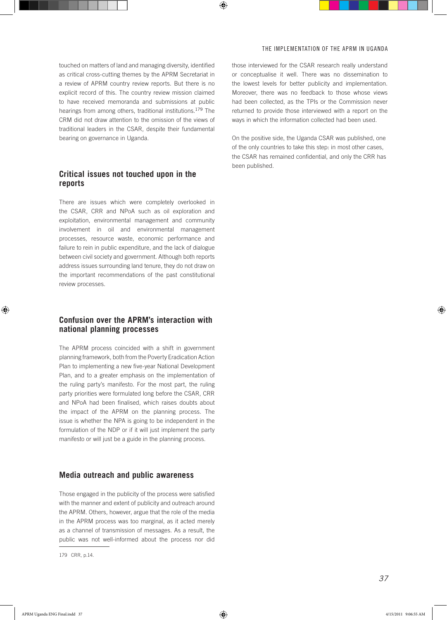touched on matters of land and managing diversity, identified as critical cross-cutting themes by the APRM Secretariat in a review of APRM country review reports. But there is no explicit record of this. The country review mission claimed to have received memoranda and submissions at public hearings from among others, traditional institutions.179 The CRM did not draw attention to the omission of the views of traditional leaders in the CSAR, despite their fundamental bearing on governance in Uganda.

## **Critical issues not touched upon in the reports**

There are issues which were completely overlooked in the CSAR, CRR and NPoA such as oil exploration and exploitation, environmental management and community involvement in oil and environmental management processes, resource waste, economic performance and failure to rein in public expenditure, and the lack of dialogue between civil society and government. Although both reports address issues surrounding land tenure, they do not draw on the important recommendations of the past constitutional review processes.

## **Confusion over the APRM's interaction with national planning processes**

The APRM process coincided with a shift in government planning framework, both from the Poverty Eradication Action Plan to implementing a new five-year National Development Plan, and to a greater emphasis on the implementation of the ruling party's manifesto. For the most part, the ruling party priorities were formulated long before the CSAR, CRR and NPoA had been finalised, which raises doubts about the impact of the APRM on the planning process. The issue is whether the NPA is going to be independent in the formulation of the NDP or if it will just implement the party manifesto or will just be a guide in the planning process.

### **Media outreach and public awareness**

Those engaged in the publicity of the process were satisfied with the manner and extent of publicity and outreach around the APRM. Others, however, argue that the role of the media in the APRM process was too marginal, as it acted merely as a channel of transmission of messages. As a result, the public was not well-informed about the process nor did those interviewed for the CSAR research really understand or conceptualise it well. There was no dissemination to the lowest levels for better publicity and implementation. Moreover, there was no feedback to those whose views had been collected, as the TPIs or the Commission never returned to provide those interviewed with a report on the ways in which the information collected had been used.

On the positive side, the Uganda CSAR was published, one of the only countries to take this step: in most other cases, the CSAR has remained confidential, and only the CRR has been published.

<sup>179</sup> CRR, p.14.